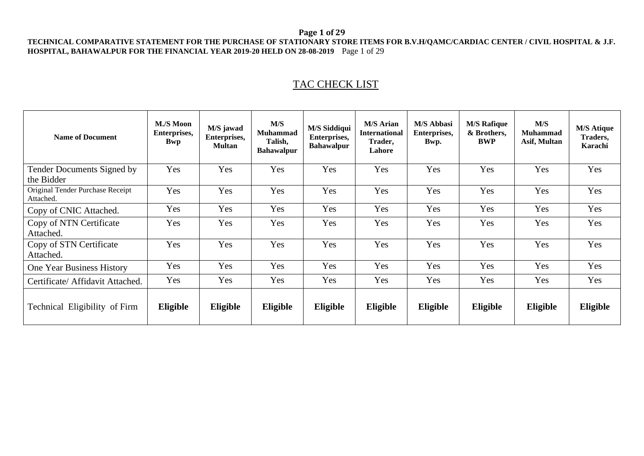#### **Page 1 of 29**

#### **TECHNICAL COMPARATIVE STATEMENT FOR THE PURCHASE OF STATIONARY STORE ITEMS FOR B.V.H/QAMC/CARDIAC CENTER / CIVIL HOSPITAL & J.F. HOSPITAL, BAHAWALPUR FOR THE FINANCIAL YEAR 2019-20 HELD ON 28-08-2019** Page 1 of 29

# TAC CHECK LIST

| <b>Name of Document</b>                       | M./S Moon<br>Enterprises,<br><b>Bwp</b> | M/S jawad<br>Enterprises,<br><b>Multan</b> | M/S<br><b>Muhammad</b><br>Talish,<br><b>Bahawalpur</b> | <b>M/S Siddiqui</b><br>Enterprises,<br><b>Bahawalpur</b> | <b>M/S Arian</b><br><b>International</b><br>Trader,<br>Lahore | <b>M/S Abbasi</b><br>Enterprises,<br>Bwp. | <b>M/S Rafique</b><br>& Brothers,<br><b>BWP</b> | M/S<br>Muhammad<br>Asif, Multan | <b>M/S Atique</b><br>Traders,<br>Karachi |
|-----------------------------------------------|-----------------------------------------|--------------------------------------------|--------------------------------------------------------|----------------------------------------------------------|---------------------------------------------------------------|-------------------------------------------|-------------------------------------------------|---------------------------------|------------------------------------------|
| Tender Documents Signed by<br>the Bidder      | Yes                                     | Yes                                        | Yes                                                    | Yes                                                      | Yes                                                           | Yes                                       | Yes                                             | Yes                             | Yes                                      |
| Original Tender Purchase Receipt<br>Attached. | Yes                                     | Yes                                        | Yes                                                    | Yes                                                      | Yes                                                           | Yes                                       | Yes                                             | Yes                             | Yes                                      |
| Copy of CNIC Attached.                        | Yes                                     | Yes                                        | Yes                                                    | Yes                                                      | Yes                                                           | Yes                                       | Yes                                             | Yes                             | Yes                                      |
| Copy of NTN Certificate<br>Attached.          | Yes                                     | Yes                                        | Yes                                                    | Yes                                                      | Yes                                                           | Yes                                       | Yes                                             | Yes                             | Yes                                      |
| Copy of STN Certificate<br>Attached.          | Yes                                     | Yes                                        | Yes                                                    | Yes                                                      | Yes                                                           | Yes                                       | Yes                                             | Yes                             | Yes                                      |
| One Year Business History                     | Yes                                     | Yes                                        | Yes                                                    | Yes                                                      | Yes                                                           | Yes                                       | Yes                                             | Yes                             | Yes                                      |
| Certificate/ Affidavit Attached.              | Yes                                     | Yes                                        | Yes                                                    | Yes                                                      | Yes                                                           | Yes                                       | Yes                                             | Yes                             | Yes                                      |
| Technical Eligibility of Firm                 | Eligible                                | Eligible                                   | Eligible                                               | Eligible                                                 | Eligible                                                      | Eligible                                  | Eligible                                        | Eligible                        | Eligible                                 |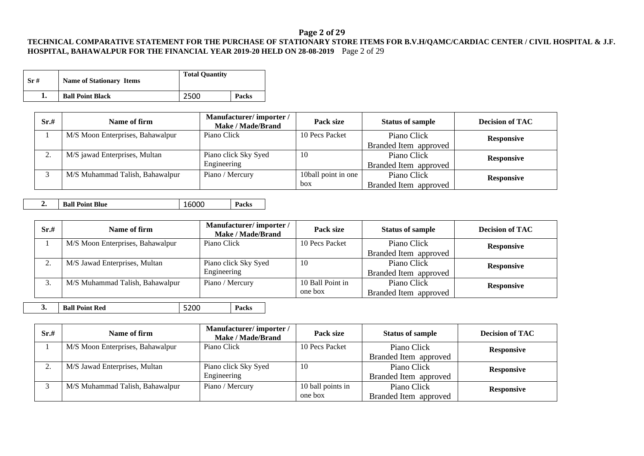# **Page 2 of 29**

#### **TECHNICAL COMPARATIVE STATEMENT FOR THE PURCHASE OF STATIONARY STORE ITEMS FOR B.V.H/QAMC/CARDIAC CENTER / CIVIL HOSPITAL & J.F. HOSPITAL, BAHAWALPUR FOR THE FINANCIAL YEAR 2019-20 HELD ON 28-08-2019** Page 2 of 29

| Sr# | <b>Name of Stationary Items</b> | <b>Total Quantity</b> |       |
|-----|---------------------------------|-----------------------|-------|
|     | <b>Ball Point Black</b>         | 2500                  | Packs |

| Sr.# | Name of firm                     | Manufacturer/importer/<br><b>Make / Made/Brand</b> | Pack size           | <b>Status of sample</b> | <b>Decision of TAC</b> |
|------|----------------------------------|----------------------------------------------------|---------------------|-------------------------|------------------------|
|      | M/S Moon Enterprises, Bahawalpur | Piano Click                                        | 10 Pecs Packet      | Piano Click             | <b>Responsive</b>      |
|      |                                  |                                                    |                     | Branded Item approved   |                        |
| ٠.   | M/S jawad Enterprises, Multan    | Piano click Sky Syed                               | -10                 | Piano Click             | <b>Responsive</b>      |
|      |                                  | Engineering                                        |                     | Branded Item approved   |                        |
|      | M/S Muhammad Talish, Bahawalpur  | Piano / Mercury                                    | 10ball point in one | Piano Click             | <b>Responsive</b>      |
|      |                                  |                                                    | box                 | Branded Item approved   |                        |

**2. Ball Point Blue** 16000 **Packs**

| Sr.# | Name of firm                     | Manufacturer/importer/<br>Make / Made/Brand | Pack size        | <b>Status of sample</b> | <b>Decision of TAC</b> |
|------|----------------------------------|---------------------------------------------|------------------|-------------------------|------------------------|
|      | M/S Moon Enterprises, Bahawalpur | Piano Click                                 | 10 Pecs Packet   | Piano Click             | <b>Responsive</b>      |
|      |                                  |                                             |                  | Branded Item approved   |                        |
| ٠.   | M/S Jawad Enterprises, Multan    | Piano click Sky Syed                        | -10              | Piano Click             | <b>Responsive</b>      |
|      |                                  | Engineering                                 |                  | Branded Item approved   |                        |
| Ć.   | M/S Muhammad Talish, Bahawalpur  | Piano / Mercury                             | 10 Ball Point in | Piano Click             | <b>Responsive</b>      |
|      |                                  |                                             | one box          | Branded Item approved   |                        |

**3. Ball Point Red** 5200 **Packs**

| Sr.# | Name of firm                     | Manufacturer/importer/<br>Make / Made/Brand | Pack size         | <b>Status of sample</b> | <b>Decision of TAC</b> |
|------|----------------------------------|---------------------------------------------|-------------------|-------------------------|------------------------|
|      | M/S Moon Enterprises, Bahawalpur | Piano Click                                 | 10 Pecs Packet    | Piano Click             | <b>Responsive</b>      |
|      |                                  |                                             |                   | Branded Item approved   |                        |
|      | M/S Jawad Enterprises, Multan    | Piano click Sky Syed                        | -10               | Piano Click             | <b>Responsive</b>      |
|      |                                  | Engineering                                 |                   | Branded Item approved   |                        |
|      | M/S Muhammad Talish, Bahawalpur  | Piano / Mercury                             | 10 ball points in | Piano Click             | <b>Responsive</b>      |
|      |                                  |                                             | one box           | Branded Item approved   |                        |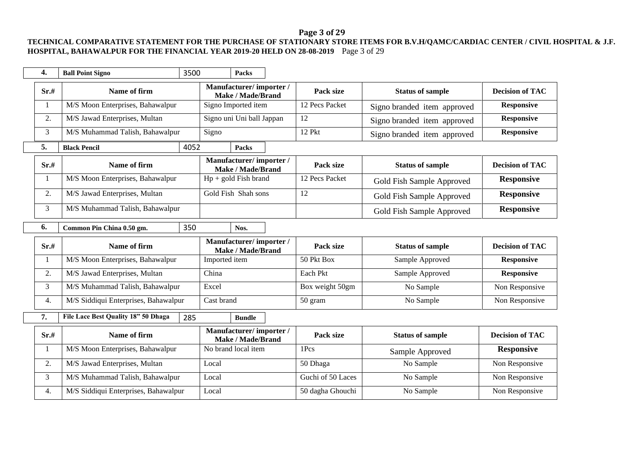# **Page 3 of 29**

### **TECHNICAL COMPARATIVE STATEMENT FOR THE PURCHASE OF STATIONARY STORE ITEMS FOR B.V.H/QAMC/CARDIAC CENTER / CIVIL HOSPITAL & J.F. HOSPITAL, BAHAWALPUR FOR THE FINANCIAL YEAR 2019-20 HELD ON 28-08-2019** Page 3 of 29

| 4.   | <b>Ball Point Signo</b>              | 3500 | <b>Packs</b>                                       |                   |                             |                        |
|------|--------------------------------------|------|----------------------------------------------------|-------------------|-----------------------------|------------------------|
| Sr.# | Name of firm                         |      | Manufacturer/importer/<br>Make / Made/Brand        | Pack size         | <b>Status of sample</b>     | <b>Decision of TAC</b> |
| 1    | M/S Moon Enterprises, Bahawalpur     |      | Signo Imported item                                | 12 Pecs Packet    | Signo branded item approved | <b>Responsive</b>      |
| 2.   | M/S Jawad Enterprises, Multan        |      | Signo uni Uni ball Jappan                          | 12                | Signo branded item approved | <b>Responsive</b>      |
| 3    | M/S Muhammad Talish, Bahawalpur      |      | Signo                                              | 12 Pkt            | Signo branded item approved | <b>Responsive</b>      |
| 5.   | <b>Black Pencil</b>                  | 4052 | Packs                                              |                   |                             |                        |
| Sr.# | Name of firm                         |      | Manufacturer/importer/<br>Make / Made/Brand        | Pack size         | <b>Status of sample</b>     | <b>Decision of TAC</b> |
| 1    | M/S Moon Enterprises, Bahawalpur     |      | $Hp + gold Fish brand$                             | 12 Pecs Packet    | Gold Fish Sample Approved   | <b>Responsive</b>      |
| 2.   | M/S Jawad Enterprises, Multan        |      | Gold Fish Shah sons                                | 12                | Gold Fish Sample Approved   | <b>Responsive</b>      |
| 3    | M/S Muhammad Talish, Bahawalpur      |      |                                                    |                   | Gold Fish Sample Approved   | <b>Responsive</b>      |
| 6.   | Common Pin China 0.50 gm.            | 350  | Nos.                                               |                   |                             |                        |
|      |                                      |      |                                                    |                   |                             |                        |
| Sr.# | Name of firm                         |      | Manufacturer/importer/<br><b>Make / Made/Brand</b> | Pack size         | <b>Status of sample</b>     | <b>Decision of TAC</b> |
| 1    | M/S Moon Enterprises, Bahawalpur     |      | Imported item                                      | 50 Pkt Box        | Sample Approved             | <b>Responsive</b>      |
| 2.   | M/S Jawad Enterprises, Multan        |      | China                                              | Each Pkt          | Sample Approved             | <b>Responsive</b>      |
| 3    | M/S Muhammad Talish, Bahawalpur      |      | Excel                                              | Box weight 50gm   | No Sample                   | Non Responsive         |
| 4.   | M/S Siddiqui Enterprises, Bahawalpur |      | Cast brand                                         | 50 gram           | No Sample                   | Non Responsive         |
| 7.   | File Lace Best Quality 18" 50 Dhaga  | 285  | <b>Bundle</b>                                      |                   |                             |                        |
| Sr.# | Name of firm                         |      | Manufacturer/importer/<br><b>Make / Made/Brand</b> | Pack size         | <b>Status of sample</b>     | <b>Decision of TAC</b> |
| 1    | M/S Moon Enterprises, Bahawalpur     |      | No brand local item                                | 1Pcs              | Sample Approved             | <b>Responsive</b>      |
| 2.   | M/S Jawad Enterprises, Multan        |      | Local                                              | 50 Dhaga          | No Sample                   | Non Responsive         |
| 3    | M/S Muhammad Talish, Bahawalpur      |      | Local                                              | Guchi of 50 Laces | No Sample                   | Non Responsive         |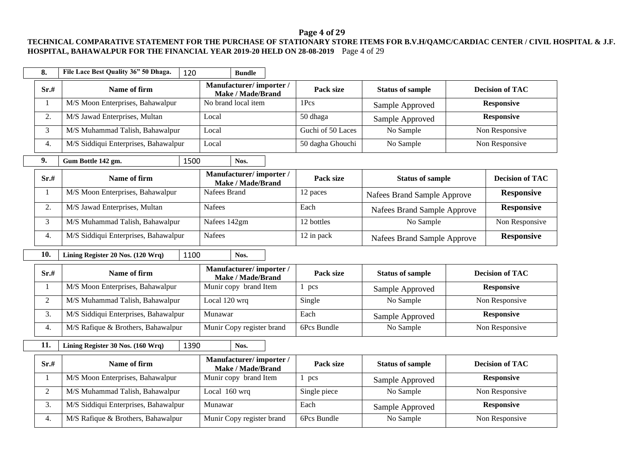### **Page 4 of 29**

#### **TECHNICAL COMPARATIVE STATEMENT FOR THE PURCHASE OF STATIONARY STORE ITEMS FOR B.V.H/QAMC/CARDIAC CENTER / CIVIL HOSPITAL & J.F. HOSPITAL, BAHAWALPUR FOR THE FINANCIAL YEAR 2019-20 HELD ON 28-08-2019** Page 4 of 29

| 8.             | File Lace Best Quality 36" 50 Dhaga.<br>120 | <b>Bundle</b>                                      |                   |                             |                        |
|----------------|---------------------------------------------|----------------------------------------------------|-------------------|-----------------------------|------------------------|
| Sr.#           | Name of firm                                | Manufacturer/importer/<br><b>Make / Made/Brand</b> | Pack size         | <b>Status of sample</b>     | <b>Decision of TAC</b> |
| $\mathbf{1}$   | M/S Moon Enterprises, Bahawalpur            | No brand local item                                | 1Pcs              | Sample Approved             | <b>Responsive</b>      |
| 2.             | M/S Jawad Enterprises, Multan               | Local                                              | 50 dhaga          | Sample Approved             | <b>Responsive</b>      |
| 3              | M/S Muhammad Talish, Bahawalpur             | Local                                              | Guchi of 50 Laces | No Sample                   | Non Responsive         |
| 4.             | M/S Siddiqui Enterprises, Bahawalpur        | Local                                              | 50 dagha Ghouchi  | No Sample                   | Non Responsive         |
| 9.             | 1500<br>Gum Bottle 142 gm.                  | Nos.                                               |                   |                             |                        |
| Sr.#           | Name of firm                                | Manufacturer/importer/<br><b>Make / Made/Brand</b> | Pack size         | <b>Status of sample</b>     | <b>Decision of TAC</b> |
| 1              | M/S Moon Enterprises, Bahawalpur            | Nafees Brand                                       | 12 paces          | Nafees Brand Sample Approve | <b>Responsive</b>      |
| 2.             | M/S Jawad Enterprises, Multan               | <b>Nafees</b>                                      | Each              | Nafees Brand Sample Approve | <b>Responsive</b>      |
| 3              | M/S Muhammad Talish, Bahawalpur             | Nafees 142gm                                       | 12 bottles        | No Sample                   | Non Responsive         |
| 4.             | M/S Siddiqui Enterprises, Bahawalpur        | <b>Nafees</b>                                      | 12 in pack        | Nafees Brand Sample Approve | <b>Responsive</b>      |
| 10.            | Lining Register 20 Nos. (120 Wrq)<br>1100   | Nos.                                               |                   |                             |                        |
| Sr.#           | Name of firm                                | Manufacturer/importer/<br><b>Make / Made/Brand</b> | Pack size         | <b>Status of sample</b>     | <b>Decision of TAC</b> |
| 1              | M/S Moon Enterprises, Bahawalpur            | Munir copy brand Item                              | $1$ pcs           | Sample Approved             | <b>Responsive</b>      |
| $\overline{2}$ | M/S Muhammad Talish, Bahawalpur             | Local 120 wrq                                      | Single            | No Sample                   | Non Responsive         |
| 3.             | M/S Siddiqui Enterprises, Bahawalpur        | Munawar                                            | Each              | Sample Approved             | <b>Responsive</b>      |
| 4.             | M/S Rafique & Brothers, Bahawalpur          | Munir Copy register brand                          | 6Pcs Bundle       | No Sample                   | Non Responsive         |
| 11.            | 1390<br>Lining Register 30 Nos. (160 Wrq)   | Nos.                                               |                   |                             |                        |
| Sr.#           | Name of firm                                | Manufacturer/importer/<br><b>Make / Made/Brand</b> | Pack size         | <b>Status of sample</b>     | <b>Decision of TAC</b> |
| 1              | M/S Moon Enterprises, Bahawalpur            | Munir copy brand Item                              | $1$ pcs           | Sample Approved             | <b>Responsive</b>      |
| $\overline{2}$ | M/S Muhammad Talish, Bahawalpur             | Local 160 wrq                                      | Single piece      | No Sample                   | Non Responsive         |
| 3.             | M/S Siddiqui Enterprises, Bahawalpur        | Munawar                                            | Each              | Sample Approved             | <b>Responsive</b>      |
| 4.             | M/S Rafique & Brothers, Bahawalpur          | Munir Copy register brand                          | 6Pcs Bundle       | No Sample                   | Non Responsive         |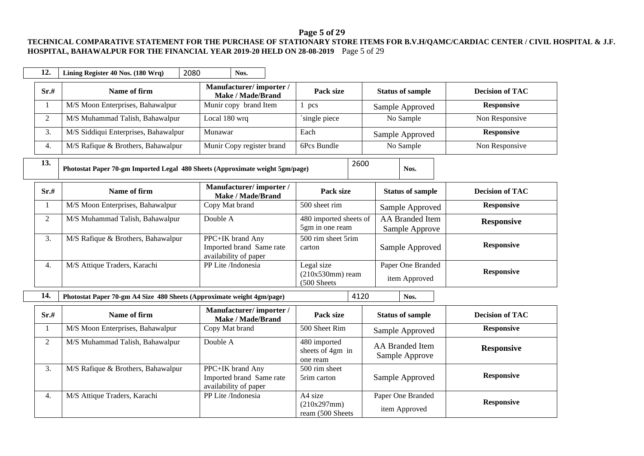# **Page 5 of 29**

### **TECHNICAL COMPARATIVE STATEMENT FOR THE PURCHASE OF STATIONARY STORE ITEMS FOR B.V.H/QAMC/CARDIAC CENTER / CIVIL HOSPITAL & J.F. HOSPITAL, BAHAWALPUR FOR THE FINANCIAL YEAR 2019-20 HELD ON 28-08-2019** Page 5 of 29

| 12.            | 2080<br>Lining Register 40 Nos. (180 Wrq)                                     | Nos.                                                                  |                                                 |                                          |                        |
|----------------|-------------------------------------------------------------------------------|-----------------------------------------------------------------------|-------------------------------------------------|------------------------------------------|------------------------|
| Sr.#           | Name of firm                                                                  | Manufacturer/importer/<br><b>Make / Made/Brand</b>                    | Pack size                                       | <b>Status of sample</b>                  | <b>Decision of TAC</b> |
| $\mathbf{1}$   | M/S Moon Enterprises, Bahawalpur                                              | Munir copy brand Item                                                 | $1$ pcs                                         | Sample Approved                          | <b>Responsive</b>      |
| $\overline{2}$ | M/S Muhammad Talish, Bahawalpur                                               | Local 180 wrq                                                         | single piece                                    | No Sample                                | Non Responsive         |
| 3.             | M/S Siddiqui Enterprises, Bahawalpur                                          | Munawar                                                               | Each                                            | Sample Approved                          | <b>Responsive</b>      |
| 4.             | M/S Rafique & Brothers, Bahawalpur                                            | Munir Copy register brand                                             | 6Pcs Bundle                                     | No Sample                                | Non Responsive         |
| 13.            | Photostat Paper 70-gm Imported Legal 480 Sheets (Approximate weight 5gm/page) |                                                                       | 2600                                            | Nos.                                     |                        |
| Sr.#           | Name of firm                                                                  | Manufacturer/importer/<br><b>Make / Made/Brand</b>                    | Pack size                                       | <b>Status of sample</b>                  | <b>Decision of TAC</b> |
| 1              | M/S Moon Enterprises, Bahawalpur                                              | Copy Mat brand                                                        | 500 sheet rim                                   | Sample Approved                          | <b>Responsive</b>      |
| $\overline{2}$ | M/S Muhammad Talish, Bahawalpur                                               | Double A                                                              | 480 imported sheets of<br>5gm in one ream       | <b>AA</b> Branded Item<br>Sample Approve | <b>Responsive</b>      |
| 3.             | M/S Rafique & Brothers, Bahawalpur                                            | PPC+IK brand Any<br>Imported brand Same rate<br>availability of paper | 500 rim sheet 5rim<br>carton                    | Sample Approved                          | <b>Responsive</b>      |
| 4.             | M/S Attique Traders, Karachi                                                  | PP Lite /Indonesia                                                    | Legal size<br>$(210x530mm)$ ream<br>(500 Sheets | Paper One Branded<br>item Approved       | <b>Responsive</b>      |
| 14.            | Photostat Paper 70-gm A4 Size 480 Sheets (Approximate weight 4gm/page)        |                                                                       | 4120                                            | Nos.                                     |                        |
| Sr.#           | Name of firm                                                                  | Manufacturer/importer/<br><b>Make / Made/Brand</b>                    | Pack size                                       | <b>Status of sample</b>                  | <b>Decision of TAC</b> |
| $\mathbf{1}$   | M/S Moon Enterprises, Bahawalpur                                              | Copy Mat brand                                                        | 500 Sheet Rim                                   | Sample Approved                          | <b>Responsive</b>      |
| $\overline{2}$ | M/S Muhammad Talish, Bahawalpur                                               | Double A                                                              | 480 imported<br>sheets of 4gm in<br>one ream    | <b>AA Branded Item</b><br>Sample Approve | <b>Responsive</b>      |
| 3.             | M/S Rafique & Brothers, Bahawalpur                                            | PPC+IK brand Any<br>Imported brand Same rate<br>availability of paper | 500 rim sheet<br>5rim carton                    | Sample Approved                          | <b>Responsive</b>      |
| 4.             | M/S Attique Traders, Karachi                                                  | PP Lite /Indonesia                                                    | A4 size<br>(210x297mm)<br>ream (500 Sheets      | Paper One Branded<br>item Approved       | <b>Responsive</b>      |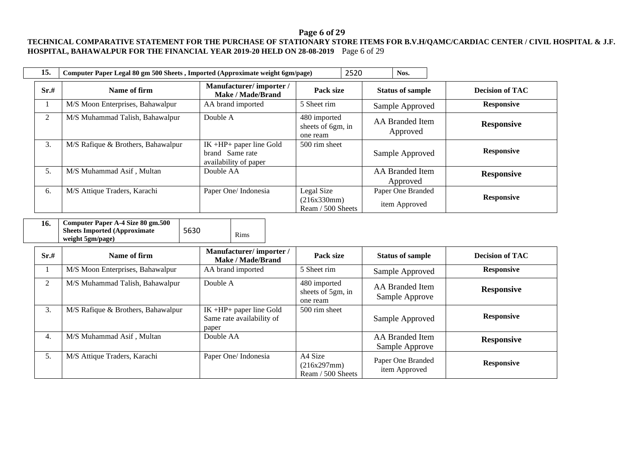# **Page 6 of 29**

### **TECHNICAL COMPARATIVE STATEMENT FOR THE PURCHASE OF STATIONARY STORE ITEMS FOR B.V.H/QAMC/CARDIAC CENTER / CIVIL HOSPITAL & J.F. HOSPITAL, BAHAWALPUR FOR THE FINANCIAL YEAR 2019-20 HELD ON 28-08-2019** Page 6 of 29

| 15.            | Computer Paper Legal 80 gm 500 Sheets, Imported (Approximate weight 6gm/page) |                                                                         |                                                | 2520 | Nos.                               |                        |
|----------------|-------------------------------------------------------------------------------|-------------------------------------------------------------------------|------------------------------------------------|------|------------------------------------|------------------------|
| Sr.#           | Name of firm                                                                  | Manufacturer/importer/<br><b>Make / Made/Brand</b>                      | Pack size                                      |      | <b>Status of sample</b>            | <b>Decision of TAC</b> |
|                | M/S Moon Enterprises, Bahawalpur                                              | AA brand imported                                                       | 5 Sheet rim                                    |      | Sample Approved                    | <b>Responsive</b>      |
| $\overline{2}$ | M/S Muhammad Talish, Bahawalpur                                               | Double A                                                                | 480 imported<br>sheets of 6gm, in<br>one ream  |      | AA Branded Item<br>Approved        | <b>Responsive</b>      |
| 3.             | M/S Rafique & Brothers, Bahawalpur                                            | $IK + HP + paper$ line Gold<br>brand Same rate<br>availability of paper | 500 rim sheet                                  |      | Sample Approved                    | <b>Responsive</b>      |
| 5.             | M/S Muhammad Asif, Multan                                                     | Double AA                                                               |                                                |      | <b>AA</b> Branded Item<br>Approved | <b>Responsive</b>      |
| 6.             | M/S Attique Traders, Karachi                                                  | Paper One/Indonesia                                                     | Legal Size<br>(216x330mm)<br>Ream / 500 Sheets |      | Paper One Branded<br>item Approved | <b>Responsive</b>      |

| Computer Paper A-4 Size 80 gm.500<br>16.<br><b>Sheets Imported (Approximate)</b><br>weight 5gm/page) | 5630 | Rims |
|------------------------------------------------------------------------------------------------------|------|------|
|------------------------------------------------------------------------------------------------------|------|------|

| Sr.# | Name of firm                       | Manufacturer/importer/<br>Make / Made/Brand                   | Pack size                                     | <b>Status of sample</b>                  | <b>Decision of TAC</b> |
|------|------------------------------------|---------------------------------------------------------------|-----------------------------------------------|------------------------------------------|------------------------|
|      | M/S Moon Enterprises, Bahawalpur   | AA brand imported                                             | 5 Sheet rim                                   | Sample Approved                          | <b>Responsive</b>      |
| 2    | M/S Muhammad Talish, Bahawalpur    | Double A                                                      | 480 imported<br>sheets of 5gm, in<br>one ream | AA Branded Item<br>Sample Approve        | <b>Responsive</b>      |
| 3.   | M/S Rafique & Brothers, Bahawalpur | IK +HP+ paper line Gold<br>Same rate availability of<br>paper | 500 rim sheet                                 | Sample Approved                          | <b>Responsive</b>      |
| 4.   | M/S Muhammad Asif, Multan          | Double AA                                                     |                                               | <b>AA</b> Branded Item<br>Sample Approve | <b>Responsive</b>      |
| 5.   | M/S Attique Traders, Karachi       | Paper One/ Indonesia                                          | A4 Size<br>(216x297mm)<br>Ream / 500 Sheets   | Paper One Branded<br>item Approved       | <b>Responsive</b>      |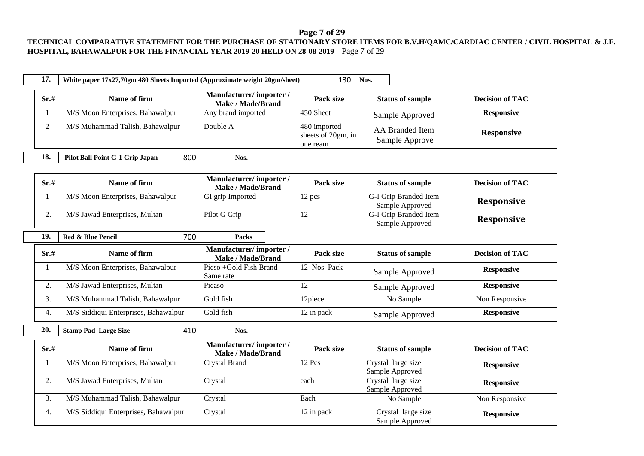#### **Page 7 of 29**

#### **TECHNICAL COMPARATIVE STATEMENT FOR THE PURCHASE OF STATIONARY STORE ITEMS FOR B.V.H/QAMC/CARDIAC CENTER / CIVIL HOSPITAL & J.F. HOSPITAL, BAHAWALPUR FOR THE FINANCIAL YEAR 2019-20 HELD ON 28-08-2019** Page 7 of 29

| 17.          |      | White paper 17x27,70gm 480 Sheets Imported (Approximate weight 20gm/sheet) |     |                                                    | 130                                            | Nos.                                     |                        |
|--------------|------|----------------------------------------------------------------------------|-----|----------------------------------------------------|------------------------------------------------|------------------------------------------|------------------------|
|              | Sr.# | Name of firm                                                               |     | Manufacturer/importer/<br><b>Make / Made/Brand</b> | Pack size                                      | <b>Status of sample</b>                  | <b>Decision of TAC</b> |
| $\mathbf{1}$ |      | M/S Moon Enterprises, Bahawalpur                                           |     | Any brand imported                                 | 450 Sheet                                      | Sample Approved                          | <b>Responsive</b>      |
|              | 2    | M/S Muhammad Talish, Bahawalpur                                            |     | Double A                                           | 480 imported<br>sheets of 20gm, in<br>one ream | <b>AA</b> Branded Item<br>Sample Approve | <b>Responsive</b>      |
| 18.          |      | Pilot Ball Point G-1 Grip Japan                                            | 800 | Nos.                                               |                                                |                                          |                        |
|              | Sr.# | Name of firm                                                               |     | Manufacturer/importer/<br><b>Make / Made/Brand</b> | Pack size                                      | <b>Status of sample</b>                  | <b>Decision of TAC</b> |
|              |      | M/S Moon Enterprises, Bahawalpur                                           |     | GI grip Imported                                   | 12 pcs                                         | G-I Grip Branded Item<br>Sample Approved | <b>Responsive</b>      |
|              | 2.   | M/S Jawad Enterprises, Multan                                              |     | Pilot G Grip                                       | 12                                             | G-I Grip Branded Item<br>Sample Approved | Responsive             |
|              |      |                                                                            |     |                                                    |                                                |                                          |                        |
| 19.          |      | Red & Blue Pencil                                                          | 700 | <b>Packs</b>                                       |                                                |                                          |                        |
|              | Sr.# | Name of firm                                                               |     | Manufacturer/importer/<br><b>Make / Made/Brand</b> | Pack size                                      | <b>Status of sample</b>                  | <b>Decision of TAC</b> |
|              |      | M/S Moon Enterprises, Bahawalpur                                           |     | Picso +Gold Fish Brand<br>Same rate                | 12 Nos Pack                                    | Sample Approved                          | <b>Responsive</b>      |
|              | 2.   | M/S Jawad Enterprises, Multan                                              |     | Picaso                                             | 12                                             | Sample Approved                          | <b>Responsive</b>      |
|              | 3.   | M/S Muhammad Talish, Bahawalpur                                            |     | Gold fish                                          | 12piece                                        | No Sample                                | Non Responsive         |
|              | 4.   | M/S Siddiqui Enterprises, Bahawalpur                                       |     | Gold fish                                          | 12 in pack                                     | Sample Approved                          | <b>Responsive</b>      |
| 20.          |      | <b>Stamp Pad Large Size</b>                                                | 410 | Nos.                                               |                                                |                                          |                        |
|              | Sr.# | Name of firm                                                               |     | Manufacturer/importer/<br>Make / Made/Brand        | Pack size                                      | <b>Status of sample</b>                  | <b>Decision of TAC</b> |
| -1           |      | M/S Moon Enterprises, Bahawalpur                                           |     | Crystal Brand                                      | 12 Pcs                                         | Crystal large size<br>Sample Approved    | <b>Responsive</b>      |

3. M/S Muhammad Talish, Bahawalpur Crystal Each No Sample Non Responsive

Sample Approved

**Responsive** 

4. M/S Siddiqui Enterprises, Bahawalpur Crystal Crystal 12 in pack Crystal large size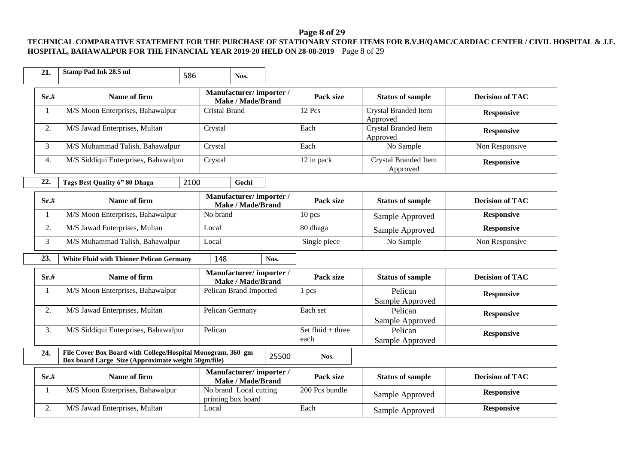# **Page 8 of 29**

### **TECHNICAL COMPARATIVE STATEMENT FOR THE PURCHASE OF STATIONARY STORE ITEMS FOR B.V.H/QAMC/CARDIAC CENTER / CIVIL HOSPITAL & J.F. HOSPITAL, BAHAWALPUR FOR THE FINANCIAL YEAR 2019-20 HELD ON 28-08-2019** Page 8 of 29

| 21.              | Stamp Pad Ink 28.5 ml                                                                                              | 586           | Nos.                                               |       |                           |                                         |                        |
|------------------|--------------------------------------------------------------------------------------------------------------------|---------------|----------------------------------------------------|-------|---------------------------|-----------------------------------------|------------------------|
| Sr.#             | Name of firm                                                                                                       |               | Manufacturer/importer/<br><b>Make / Made/Brand</b> |       | Pack size                 | <b>Status of sample</b>                 | <b>Decision of TAC</b> |
| 1                | M/S Moon Enterprises, Bahawalpur                                                                                   | Cristal Brand |                                                    |       | 12 Pcs                    | Crystal Branded Item<br>Approved        | <b>Responsive</b>      |
| 2.               | M/S Jawad Enterprises, Multan                                                                                      | Crystal       |                                                    |       | Each                      | <b>Crystal Branded Item</b><br>Approved | <b>Responsive</b>      |
| 3                | M/S Muhammad Talish, Bahawalpur                                                                                    | Crystal       |                                                    |       | Each                      | No Sample                               | Non Responsive         |
| $\overline{4}$ . | M/S Siddiqui Enterprises, Bahawalpur                                                                               | Crystal       |                                                    |       | 12 in pack                | Crystal Branded Item<br>Approved        | <b>Responsive</b>      |
| 22.              | Tags Best Quality 6" 80 Dhaga                                                                                      | 2100          | Gochi                                              |       |                           |                                         |                        |
| Sr.#             | Name of firm                                                                                                       |               | Manufacturer/importer/<br><b>Make / Made/Brand</b> |       | Pack size                 | <b>Status of sample</b>                 | <b>Decision of TAC</b> |
| 1                | M/S Moon Enterprises, Bahawalpur                                                                                   | No brand      |                                                    |       | $10$ pcs                  | Sample Approved                         | <b>Responsive</b>      |
| 2.               | M/S Jawad Enterprises, Multan                                                                                      | Local         |                                                    |       | 80 dhaga                  | Sample Approved                         | <b>Responsive</b>      |
| 3                | M/S Muhammad Talish, Bahawalpur                                                                                    | Local         |                                                    |       | Single piece              | No Sample                               | Non Responsive         |
| 23.              | <b>White Fluid with Thinner Pelican Germany</b>                                                                    | 148           |                                                    | Nos.  |                           |                                         |                        |
| Sr.#             | Name of firm                                                                                                       |               | Manufacturer/importer/<br>Make / Made/Brand        |       | Pack size                 | <b>Status of sample</b>                 | <b>Decision of TAC</b> |
| 1                | M/S Moon Enterprises, Bahawalpur                                                                                   |               | Pelican Brand Imported                             |       | 1 pcs                     | Pelican<br>Sample Approved              | <b>Responsive</b>      |
| 2.               | M/S Jawad Enterprises, Multan                                                                                      |               | Pelican Germany                                    |       | Each set                  | Pelican<br>Sample Approved              | <b>Responsive</b>      |
| 3.               | M/S Siddiqui Enterprises, Bahawalpur                                                                               | Pelican       |                                                    |       | Set fluid + three<br>each | Pelican<br>Sample Approved              | <b>Responsive</b>      |
| 24.              | File Cover Box Board with College/Hospital Monogram. 360 gm<br>Box board Large Size (Approximate weight 50gm/file) |               |                                                    | 25500 | Nos.                      |                                         |                        |
| Sr.#             | Name of firm                                                                                                       |               | Manufacturer/importer/<br><b>Make / Made/Brand</b> |       | Pack size                 | <b>Status of sample</b>                 | <b>Decision of TAC</b> |
| 1                | M/S Moon Enterprises, Bahawalpur                                                                                   |               | No brand Local cutting<br>printing box board       |       | 200 Pcs bundle            | Sample Approved                         | <b>Responsive</b>      |
| 2.               | M/S Jawad Enterprises, Multan                                                                                      | Local         |                                                    |       | Each                      | Sample Approved                         | <b>Responsive</b>      |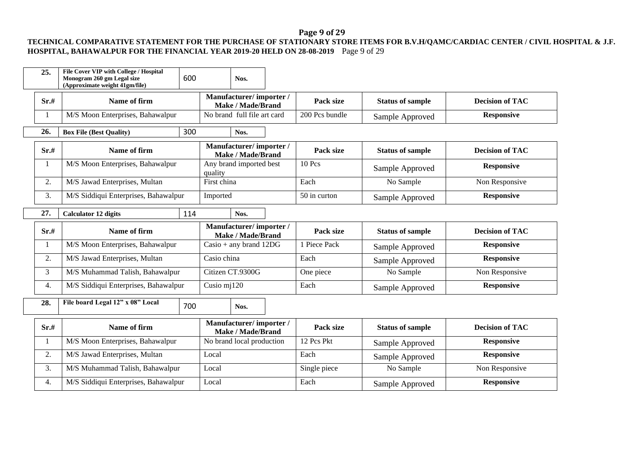# **Page 9 of 29**

### **TECHNICAL COMPARATIVE STATEMENT FOR THE PURCHASE OF STATIONARY STORE ITEMS FOR B.V.H/QAMC/CARDIAC CENTER / CIVIL HOSPITAL & J.F. HOSPITAL, BAHAWALPUR FOR THE FINANCIAL YEAR 2019-20 HELD ON 28-08-2019** Page 9 of 29

| 25.  | File Cover VIP with College / Hospital<br>Monogram 260 gm Legal size<br>(Approximate weight 41gm/file) | 600 |             | Nos.                                               |                |                         |                        |
|------|--------------------------------------------------------------------------------------------------------|-----|-------------|----------------------------------------------------|----------------|-------------------------|------------------------|
| Sr.# | Name of firm                                                                                           |     |             | Manufacturer/importer/<br>Make / Made/Brand        | Pack size      | <b>Status of sample</b> | <b>Decision of TAC</b> |
|      | M/S Moon Enterprises, Bahawalpur                                                                       |     |             | No brand full file art card                        | 200 Pcs bundle | Sample Approved         | <b>Responsive</b>      |
| 26.  | <b>Box File (Best Quality)</b>                                                                         | 300 |             | Nos.                                               |                |                         |                        |
| Sr.# | Name of firm                                                                                           |     |             | Manufacturer/importer/<br>Make / Made/Brand        | Pack size      | <b>Status of sample</b> | <b>Decision of TAC</b> |
| 1    | M/S Moon Enterprises, Bahawalpur                                                                       |     | quality     | Any brand imported best                            | $10$ Pcs       | Sample Approved         | <b>Responsive</b>      |
| 2.   | M/S Jawad Enterprises, Multan                                                                          |     | First china |                                                    | Each           | No Sample               | Non Responsive         |
| 3.   | M/S Siddiqui Enterprises, Bahawalpur                                                                   |     | Imported    |                                                    | 50 in curton   | Sample Approved         | <b>Responsive</b>      |
| 27.  | <b>Calculator 12 digits</b>                                                                            | 114 |             | Nos.                                               |                |                         |                        |
| Sr.# | Name of firm                                                                                           |     |             | Manufacturer/importer/<br><b>Make / Made/Brand</b> | Pack size      | <b>Status of sample</b> | <b>Decision of TAC</b> |
| 1    | M/S Moon Enterprises, Bahawalpur                                                                       |     |             | $\text{Casio} + \text{any brand } 12\text{DG}$     | 1 Piece Pack   | Sample Approved         | <b>Responsive</b>      |
| 2.   | M/S Jawad Enterprises, Multan                                                                          |     | Casio china |                                                    | Each           | Sample Approved         | <b>Responsive</b>      |
| 3    | M/S Muhammad Talish, Bahawalpur                                                                        |     |             | Citizen CT.9300G                                   | One piece      | No Sample               | Non Responsive         |
| 4.   | M/S Siddiqui Enterprises, Bahawalpur                                                                   |     | Cusio mj120 |                                                    | Each           | Sample Approved         | <b>Responsive</b>      |
| 28.  | File board Legal 12" x 08" Local                                                                       | 700 |             | Nos.                                               |                |                         |                        |

| Sr.# | Name of firm                         | Manufacturer/importer/<br><b>Make / Made/Brand</b> | Pack size    | <b>Status of sample</b> | <b>Decision of TAC</b> |
|------|--------------------------------------|----------------------------------------------------|--------------|-------------------------|------------------------|
|      | M/S Moon Enterprises, Bahawalpur     | No brand local production                          | 12 Pcs Pkt   | Sample Approved         | <b>Responsive</b>      |
| ۷.   | M/S Jawad Enterprises, Multan        | Local                                              | Each         | Sample Approved         | <b>Responsive</b>      |
| . ب  | M/S Muhammad Talish, Bahawalpur      | Local                                              | Single piece | No Sample               | Non Responsive         |
| 4.   | M/S Siddiqui Enterprises, Bahawalpur | Local                                              | Each         | Sample Approved         | <b>Responsive</b>      |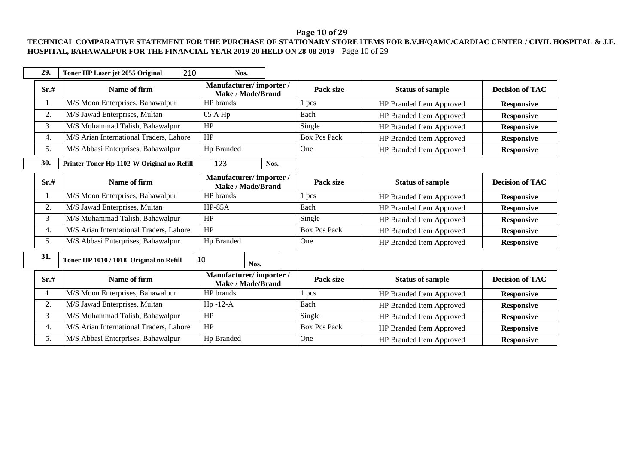# **Page 10 of 29**

### **TECHNICAL COMPARATIVE STATEMENT FOR THE PURCHASE OF STATIONARY STORE ITEMS FOR B.V.H/QAMC/CARDIAC CENTER / CIVIL HOSPITAL & J.F. HOSPITAL, BAHAWALPUR FOR THE FINANCIAL YEAR 2019-20 HELD ON 28-08-2019** Page 10 of 29

| 29.  | 210<br>Toner HP Laser jet 2055 Original    | Nos.                                               |                     |                                 |                        |
|------|--------------------------------------------|----------------------------------------------------|---------------------|---------------------------------|------------------------|
| Sr.# | Name of firm                               | Manufacturer/importer/<br>Make / Made/Brand        | Pack size           | <b>Status of sample</b>         | <b>Decision of TAC</b> |
|      | M/S Moon Enterprises, Bahawalpur           | HP brands                                          | pcs                 | HP Branded Item Approved        | <b>Responsive</b>      |
| 2.   | M/S Jawad Enterprises, Multan              | 05 A Hp                                            | Each                | HP Branded Item Approved        | <b>Responsive</b>      |
| 3    | M/S Muhammad Talish, Bahawalpur            | HP                                                 | Single              | HP Branded Item Approved        | <b>Responsive</b>      |
| 4.   | M/S Arian International Traders, Lahore    | HP                                                 | <b>Box Pcs Pack</b> | HP Branded Item Approved        | <b>Responsive</b>      |
| 5.   | M/S Abbasi Enterprises, Bahawalpur         | Hp Branded                                         | One                 | HP Branded Item Approved        | Responsive             |
| 30.  | Printer Toner Hp 1102-W Original no Refill | 123<br>Nos.                                        |                     |                                 |                        |
| Sr.# | Name of firm                               | Manufacturer/importer/<br><b>Make / Made/Brand</b> | Pack size           | <b>Status of sample</b>         | <b>Decision of TAC</b> |
| 1    | M/S Moon Enterprises, Bahawalpur           | HP brands                                          | pcs                 | HP Branded Item Approved        | <b>Responsive</b>      |
| 2.   | M/S Jawad Enterprises, Multan              | <b>HP-85A</b>                                      | Each                | HP Branded Item Approved        | <b>Responsive</b>      |
| 3    | M/S Muhammad Talish, Bahawalpur            | HP                                                 | Single              | HP Branded Item Approved        | <b>Responsive</b>      |
| 4.   | M/S Arian International Traders, Lahore    | HP                                                 | <b>Box Pcs Pack</b> | HP Branded Item Approved        | <b>Responsive</b>      |
| 5.   | M/S Abbasi Enterprises, Bahawalpur         | Hp Branded                                         | One                 | HP Branded Item Approved        | <b>Responsive</b>      |
| 31.  | Toner HP 1010 / 1018 Original no Refill    | 10<br>Nos.                                         |                     |                                 |                        |
| Sr.# | Name of firm                               | Manufacturer/importer/<br><b>Make / Made/Brand</b> | Pack size           | <b>Status of sample</b>         | <b>Decision of TAC</b> |
|      | M/S Moon Enterprises, Bahawalpur           | HP brands                                          | 1 pcs               | HP Branded Item Approved        | <b>Responsive</b>      |
| 2.   | M/S Jawad Enterprises, Multan              | $Hp - 12-A$                                        | Each                | HP Branded Item Approved        | <b>Responsive</b>      |
| 3    | M/S Muhammad Talish, Bahawalpur            | HP                                                 | Single              | HP Branded Item Approved        | <b>Responsive</b>      |
| 4.   | M/S Arian International Traders, Lahore    | HP                                                 | <b>Box Pcs Pack</b> | HP Branded Item Approved        | <b>Responsive</b>      |
| 5.   | M/S Abbasi Enterprises, Bahawalpur         | Hp Branded                                         | One                 | <b>HP Branded Item Approved</b> | <b>Responsive</b>      |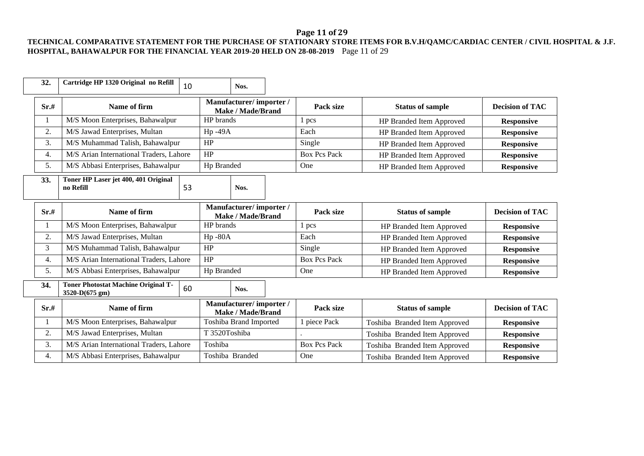# **Page 11 of 29**

### **TECHNICAL COMPARATIVE STATEMENT FOR THE PURCHASE OF STATIONARY STORE ITEMS FOR B.V.H/QAMC/CARDIAC CENTER / CIVIL HOSPITAL & J.F. HOSPITAL, BAHAWALPUR FOR THE FINANCIAL YEAR 2019-20 HELD ON 28-08-2019** Page 11 of 29

| 32.  | Cartridge HP 1320 Original no Refill                         | 10 |               | Nos.                                               |                     |                               |                        |
|------|--------------------------------------------------------------|----|---------------|----------------------------------------------------|---------------------|-------------------------------|------------------------|
| Sr.# | Name of firm                                                 |    |               | Manufacturer/importer/<br><b>Make / Made/Brand</b> | Pack size           | <b>Status of sample</b>       | <b>Decision of TAC</b> |
| 1    | M/S Moon Enterprises, Bahawalpur                             |    | HP brands     |                                                    | 1 pcs               | HP Branded Item Approved      | <b>Responsive</b>      |
| 2.   | M/S Jawad Enterprises, Multan                                |    | Hp-49A        |                                                    | Each                | HP Branded Item Approved      | <b>Responsive</b>      |
| 3.   | M/S Muhammad Talish, Bahawalpur                              |    | HP            |                                                    | Single              | HP Branded Item Approved      | <b>Responsive</b>      |
| 4.   | M/S Arian International Traders, Lahore                      |    | HP            |                                                    | <b>Box Pcs Pack</b> | HP Branded Item Approved      | <b>Responsive</b>      |
| 5.   | M/S Abbasi Enterprises, Bahawalpur                           |    | Hp Branded    |                                                    | One                 | HP Branded Item Approved      | <b>Responsive</b>      |
| 33.  | Toner HP Laser jet 400, 401 Original<br>no Refill            | 53 |               | Nos.                                               |                     |                               |                        |
| Sr.# | Name of firm                                                 |    |               | Manufacturer/importer/<br><b>Make / Made/Brand</b> | Pack size           | <b>Status of sample</b>       | <b>Decision of TAC</b> |
| 1    | M/S Moon Enterprises, Bahawalpur                             |    | HP brands     |                                                    | 1 pcs               | HP Branded Item Approved      | <b>Responsive</b>      |
| 2.   | M/S Jawad Enterprises, Multan                                |    | $Hp - 80A$    |                                                    | Each                | HP Branded Item Approved      | <b>Responsive</b>      |
| 3    | M/S Muhammad Talish, Bahawalpur                              |    | HP            |                                                    | Single              | HP Branded Item Approved      | <b>Responsive</b>      |
| 4.   | M/S Arian International Traders, Lahore                      |    | HP            |                                                    | <b>Box Pcs Pack</b> | HP Branded Item Approved      | <b>Responsive</b>      |
| 5.   | M/S Abbasi Enterprises, Bahawalpur                           |    | Hp Branded    |                                                    | One                 | HP Branded Item Approved      | <b>Responsive</b>      |
| 34.  | <b>Toner Photostat Machine Original T-</b><br>3520-D(675 gm) | 60 |               | Nos.                                               |                     |                               |                        |
| Sr.# | Name of firm                                                 |    |               | Manufacturer/importer/<br>Make / Made/Brand        | Pack size           | <b>Status of sample</b>       | <b>Decision of TAC</b> |
| 1    | M/S Moon Enterprises, Bahawalpur                             |    |               | Toshiba Brand Imported                             | 1 piece Pack        | Toshiba Branded Item Approved | <b>Responsive</b>      |
| 2.   | M/S Jawad Enterprises, Multan                                |    | T 3520Toshiba |                                                    |                     | Toshiba Branded Item Approved | <b>Responsive</b>      |
| 3.   | M/S Arian International Traders, Lahore                      |    | Toshiba       |                                                    | <b>Box Pcs Pack</b> | Toshiba Branded Item Approved | <b>Responsive</b>      |
| 4.   | M/S Abbasi Enterprises, Bahawalpur                           |    |               | Toshiba Branded                                    | One                 | Toshiba Branded Item Approved | <b>Responsive</b>      |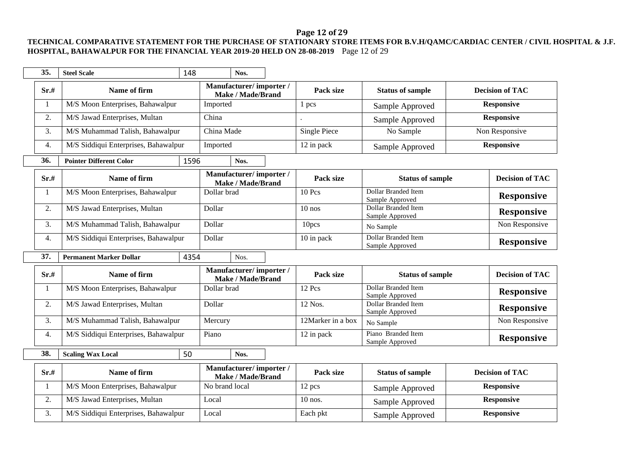# **Page 12 of 29**

### **TECHNICAL COMPARATIVE STATEMENT FOR THE PURCHASE OF STATIONARY STORE ITEMS FOR B.V.H/QAMC/CARDIAC CENTER / CIVIL HOSPITAL & J.F. HOSPITAL, BAHAWALPUR FOR THE FINANCIAL YEAR 2019-20 HELD ON 28-08-2019** Page 12 of 29

| 35.  | <b>Steel Scale</b>                   | 148  |                | Nos.                                               |                     |                                               |  |                        |
|------|--------------------------------------|------|----------------|----------------------------------------------------|---------------------|-----------------------------------------------|--|------------------------|
| Sr.# | Name of firm                         |      |                | Manufacturer/importer/<br><b>Make / Made/Brand</b> | Pack size           | <b>Status of sample</b>                       |  | <b>Decision of TAC</b> |
| 1    | M/S Moon Enterprises, Bahawalpur     |      | Imported       |                                                    | 1 pcs               | Sample Approved                               |  | <b>Responsive</b>      |
| 2.   | M/S Jawad Enterprises, Multan        |      | China          |                                                    |                     | Sample Approved                               |  | <b>Responsive</b>      |
| 3.   | M/S Muhammad Talish, Bahawalpur      |      | China Made     |                                                    | <b>Single Piece</b> | No Sample                                     |  | Non Responsive         |
| 4.   | M/S Siddiqui Enterprises, Bahawalpur |      | Imported       |                                                    | 12 in pack          | Sample Approved                               |  | <b>Responsive</b>      |
| 36.  | <b>Pointer Different Color</b>       | 1596 |                | Nos.                                               |                     |                                               |  |                        |
| Sr.# | Name of firm                         |      |                | Manufacturer/importer/<br><b>Make / Made/Brand</b> | Pack size           | <b>Status of sample</b>                       |  | <b>Decision of TAC</b> |
| 1    | M/S Moon Enterprises, Bahawalpur     |      | Dollar brad    |                                                    | 10 Pcs              | <b>Dollar Branded Item</b><br>Sample Approved |  | Responsive             |
| 2.   | M/S Jawad Enterprises, Multan        |      | Dollar         |                                                    | $10$ nos            | Dollar Branded Item<br>Sample Approved        |  | <b>Responsive</b>      |
| 3.   | M/S Muhammad Talish, Bahawalpur      |      | Dollar         |                                                    | 10pcs               | No Sample                                     |  | Non Responsive         |
| 4.   | M/S Siddiqui Enterprises, Bahawalpur |      | Dollar         |                                                    | 10 in pack          | <b>Dollar Branded Item</b><br>Sample Approved |  | <b>Responsive</b>      |
| 37.  | <b>Permanent Marker Dollar</b>       | 4354 |                | Nos.                                               |                     |                                               |  |                        |
| Sr.# | Name of firm                         |      |                | Manufacturer/importer/<br><b>Make / Made/Brand</b> | Pack size           | <b>Status of sample</b>                       |  | <b>Decision of TAC</b> |
| 1    | M/S Moon Enterprises, Bahawalpur     |      | Dollar brad    |                                                    | 12 Pcs              | <b>Dollar Branded Item</b><br>Sample Approved |  | <b>Responsive</b>      |
| 2.   | M/S Jawad Enterprises, Multan        |      | Dollar         |                                                    | 12 Nos.             | Dollar Branded Item<br>Sample Approved        |  | <b>Responsive</b>      |
| 3.   | M/S Muhammad Talish, Bahawalpur      |      | Mercury        |                                                    | 12Marker in a box   | No Sample                                     |  | Non Responsive         |
| 4.   | M/S Siddiqui Enterprises, Bahawalpur |      | Piano          |                                                    | 12 in pack          | Piano Branded Item<br>Sample Approved         |  | <b>Responsive</b>      |
| 38.  | <b>Scaling Wax Local</b>             | 50   |                | Nos.                                               |                     |                                               |  |                        |
| Sr.# | Name of firm                         |      |                | Manufacturer/importer/<br>Make / Made/Brand        | Pack size           | <b>Status of sample</b>                       |  | <b>Decision of TAC</b> |
|      | M/S Moon Enterprises, Bahawalpur     |      | No brand local |                                                    | 12 pcs              | Sample Approved                               |  | <b>Responsive</b>      |
| 2.   | M/S Jawad Enterprises, Multan        |      | Local          |                                                    | $10$ nos.           | Sample Approved                               |  | <b>Responsive</b>      |
| 3.   | M/S Siddiqui Enterprises, Bahawalpur |      | Local          |                                                    | Each pkt            | Sample Approved                               |  | <b>Responsive</b>      |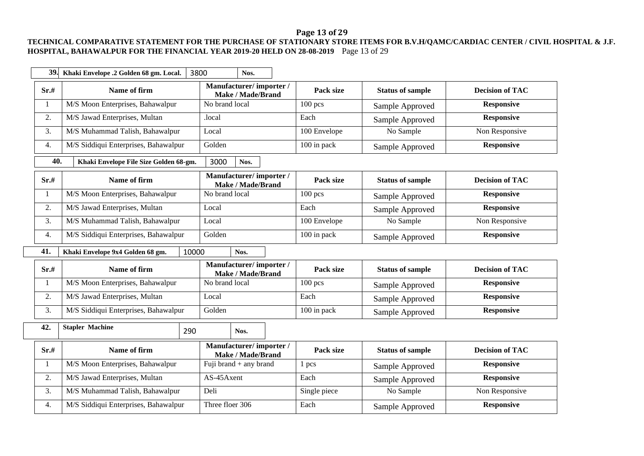# **Page 13 of 29**

### **TECHNICAL COMPARATIVE STATEMENT FOR THE PURCHASE OF STATIONARY STORE ITEMS FOR B.V.H/QAMC/CARDIAC CENTER / CIVIL HOSPITAL & J.F. HOSPITAL, BAHAWALPUR FOR THE FINANCIAL YEAR 2019-20 HELD ON 28-08-2019** Page 13 of 29

| 39.              | Khaki Envelope .2 Golden 68 gm. Local. | 3800           | Nos.                                               |              |                         |                        |
|------------------|----------------------------------------|----------------|----------------------------------------------------|--------------|-------------------------|------------------------|
| Sr.#             | Name of firm                           |                | Manufacturer/importer/<br><b>Make / Made/Brand</b> | Pack size    | <b>Status of sample</b> | <b>Decision of TAC</b> |
| $\mathbf{1}$     | M/S Moon Enterprises, Bahawalpur       | No brand local |                                                    | $100$ pcs    | Sample Approved         | <b>Responsive</b>      |
| 2.               | M/S Jawad Enterprises, Multan          | .local         |                                                    | Each         | Sample Approved         | <b>Responsive</b>      |
| 3.               | M/S Muhammad Talish, Bahawalpur        | Local          |                                                    | 100 Envelope | No Sample               | Non Responsive         |
| 4.               | M/S Siddiqui Enterprises, Bahawalpur   | Golden         |                                                    | 100 in pack  | Sample Approved         | <b>Responsive</b>      |
| 40.              | Khaki Envelope File Size Golden 68-gm. | 3000           | Nos.                                               |              |                         |                        |
| Sr.#             | Name of firm                           |                | Manufacturer/importer/<br><b>Make / Made/Brand</b> | Pack size    | <b>Status of sample</b> | <b>Decision of TAC</b> |
| $\mathbf{1}$     | M/S Moon Enterprises, Bahawalpur       | No brand local |                                                    | $100$ pcs    | Sample Approved         | <b>Responsive</b>      |
| 2.               | M/S Jawad Enterprises, Multan          | Local          |                                                    | Each         | Sample Approved         | <b>Responsive</b>      |
| 3.               | M/S Muhammad Talish, Bahawalpur        | Local          |                                                    | 100 Envelope | No Sample               | Non Responsive         |
| $\overline{4}$ . | M/S Siddiqui Enterprises, Bahawalpur   | Golden         |                                                    | 100 in pack  | Sample Approved         | <b>Responsive</b>      |
| 41.              | Khaki Envelope 9x4 Golden 68 gm.       | 10000          | Nos.                                               |              |                         |                        |
| Sr.#             | Name of firm                           |                | Manufacturer/importer/<br><b>Make / Made/Brand</b> | Pack size    | <b>Status of sample</b> | <b>Decision of TAC</b> |
| 1                | M/S Moon Enterprises, Bahawalpur       | No brand local |                                                    | $100$ pcs    | Sample Approved         | <b>Responsive</b>      |
| 2.               | M/S Jawad Enterprises, Multan          | Local          |                                                    | Each         | Sample Approved         | <b>Responsive</b>      |
| 3.               | M/S Siddiqui Enterprises, Bahawalpur   | Golden         |                                                    | 100 in pack  | Sample Approved         | <b>Responsive</b>      |
| 42.              | <b>Stapler Machine</b>                 | 290            | Nos.                                               |              |                         |                        |
| Sr.#             | Name of firm                           |                | Manufacturer/importer/<br><b>Make / Made/Brand</b> | Pack size    | <b>Status of sample</b> | <b>Decision of TAC</b> |
| 1                | M/S Moon Enterprises, Bahawalpur       |                | Fuji brand $+$ any brand                           | 1 pcs        | Sample Approved         | <b>Responsive</b>      |
| 2.               | M/S Jawad Enterprises, Multan          | AS-45Axent     |                                                    | Each         | Sample Approved         | <b>Responsive</b>      |
| 3.               | M/S Muhammad Talish, Bahawalpur        | Deli           |                                                    | Single piece | No Sample               | Non Responsive         |
| 4.               | M/S Siddiqui Enterprises, Bahawalpur   |                |                                                    |              |                         | <b>Responsive</b>      |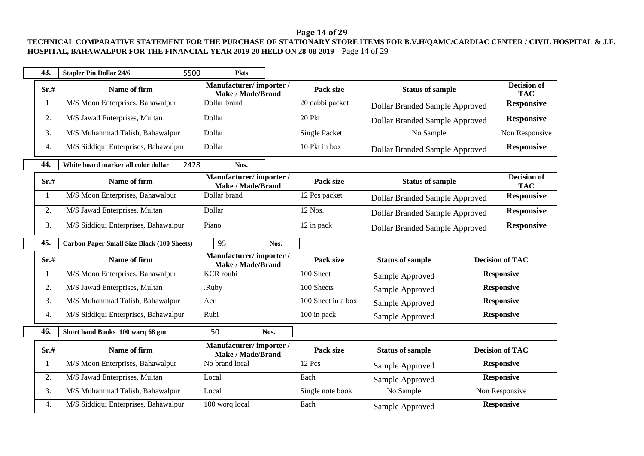# **Page 14 of 29**

### **TECHNICAL COMPARATIVE STATEMENT FOR THE PURCHASE OF STATIONARY STORE ITEMS FOR B.V.H/QAMC/CARDIAC CENTER / CIVIL HOSPITAL & J.F. HOSPITAL, BAHAWALPUR FOR THE FINANCIAL YEAR 2019-20 HELD ON 28-08-2019** Page 14 of 29

| 43.  | <b>Stapler Pin Dollar 24/6</b>                    | 5500 |                        | <b>Pkts</b>              |      |                      |                                       |                                  |
|------|---------------------------------------------------|------|------------------------|--------------------------|------|----------------------|---------------------------------------|----------------------------------|
| Sr.# | Name of firm                                      |      | Manufacturer/importer/ | <b>Make / Made/Brand</b> |      | Pack size            | <b>Status of sample</b>               | <b>Decision of</b><br><b>TAC</b> |
|      | M/S Moon Enterprises, Bahawalpur                  |      | Dollar brand           |                          |      | 20 dabbi packet      | Dollar Branded Sample Approved        | <b>Responsive</b>                |
| 2.   | M/S Jawad Enterprises, Multan                     |      | Dollar                 |                          |      | 20 Pkt               | <b>Dollar Branded Sample Approved</b> | <b>Responsive</b>                |
| 3.   | M/S Muhammad Talish, Bahawalpur                   |      | Dollar                 |                          |      | <b>Single Packet</b> | No Sample                             | Non Responsive                   |
| 4.   | M/S Siddiqui Enterprises, Bahawalpur              |      | Dollar                 |                          |      | 10 Pkt in box        | <b>Dollar Branded Sample Approved</b> | <b>Responsive</b>                |
| 44.  | White board marker all color dollar               | 2428 |                        | Nos.                     |      |                      |                                       |                                  |
| Sr.# | Name of firm                                      |      | Manufacturer/importer/ | <b>Make / Made/Brand</b> |      | Pack size            | <b>Status of sample</b>               | <b>Decision of</b><br><b>TAC</b> |
|      | M/S Moon Enterprises, Bahawalpur                  |      | Dollar brand           |                          |      | 12 Pcs packet        | Dollar Branded Sample Approved        | <b>Responsive</b>                |
| 2.   | M/S Jawad Enterprises, Multan                     |      | Dollar                 |                          |      | 12 Nos.              | Dollar Branded Sample Approved        | <b>Responsive</b>                |
| 3.   | M/S Siddiqui Enterprises, Bahawalpur              |      | Piano                  |                          |      | 12 in pack           | Dollar Branded Sample Approved        | <b>Responsive</b>                |
| 45.  | <b>Carbon Paper Small Size Black (100 Sheets)</b> |      | 95                     |                          | Nos. |                      |                                       |                                  |
| Sr.# | Name of firm                                      |      | Manufacturer/importer/ | <b>Make / Made/Brand</b> |      | Pack size            | <b>Status of sample</b>               | <b>Decision of TAC</b>           |
| 1    | M/S Moon Enterprises, Bahawalpur                  |      | <b>KCR</b> roubi       |                          |      | 100 Sheet            | Sample Approved                       | <b>Responsive</b>                |
| 2.   | M/S Jawad Enterprises, Multan                     |      | .Ruby                  |                          |      | 100 Sheets           | Sample Approved                       | <b>Responsive</b>                |
| 3.   | M/S Muhammad Talish, Bahawalpur                   |      | Acr                    |                          |      | 100 Sheet in a box   | Sample Approved                       | <b>Responsive</b>                |
| 4.   | M/S Siddiqui Enterprises, Bahawalpur              |      | Rubi                   |                          |      | 100 in pack          | Sample Approved                       | <b>Responsive</b>                |
| 46.  | Short hand Books 100 warq 68 gm                   |      | 50                     |                          | Nos. |                      |                                       |                                  |
| Sr.# | Name of firm                                      |      | Manufacturer/importer/ | <b>Make / Made/Brand</b> |      | Pack size            | <b>Status of sample</b>               | <b>Decision of TAC</b>           |
| -1   | M/S Moon Enterprises, Bahawalpur                  |      | No brand local         |                          |      | 12 Pcs               | Sample Approved                       | <b>Responsive</b>                |
| 2.   | M/S Jawad Enterprises, Multan                     |      | Local                  |                          |      | Each                 | Sample Approved                       | <b>Responsive</b>                |
| 3.   | M/S Muhammad Talish, Bahawalpur                   |      | Local                  |                          |      | Single note book     | No Sample                             | Non Responsive                   |
| 4.   | M/S Siddiqui Enterprises, Bahawalpur              |      | 100 worq local         |                          |      | Each                 | Sample Approved                       | <b>Responsive</b>                |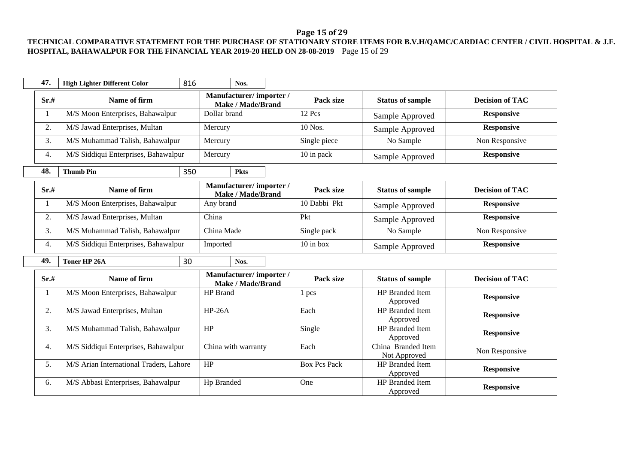# **Page 15 of 29**

#### **TECHNICAL COMPARATIVE STATEMENT FOR THE PURCHASE OF STATIONARY STORE ITEMS FOR B.V.H/QAMC/CARDIAC CENTER / CIVIL HOSPITAL & J.F. HOSPITAL, BAHAWALPUR FOR THE FINANCIAL YEAR 2019-20 HELD ON 28-08-2019** Page 15 of 29

| 47.              | <b>High Lighter Different Color</b>     | 816 |              | Nos.                                               |                     |                                    |                        |
|------------------|-----------------------------------------|-----|--------------|----------------------------------------------------|---------------------|------------------------------------|------------------------|
| Sr.#             | Name of firm                            |     |              | Manufacturer/importer/<br>Make / Made/Brand        | Pack size           | <b>Status of sample</b>            | <b>Decision of TAC</b> |
|                  | M/S Moon Enterprises, Bahawalpur        |     | Dollar brand |                                                    | 12 Pcs              | Sample Approved                    | <b>Responsive</b>      |
| 2.               | M/S Jawad Enterprises, Multan           |     | Mercury      |                                                    | 10 Nos.             | Sample Approved                    | <b>Responsive</b>      |
| 3.               | M/S Muhammad Talish, Bahawalpur         |     | Mercury      |                                                    | Single piece        | No Sample                          | Non Responsive         |
| $\overline{4}$ . | M/S Siddiqui Enterprises, Bahawalpur    |     | Mercury      |                                                    | 10 in pack          | Sample Approved                    | <b>Responsive</b>      |
| 48.              | <b>Thumb Pin</b>                        | 350 |              | <b>Pkts</b>                                        |                     |                                    |                        |
| Sr.#             | Name of firm                            |     |              | Manufacturer/importer/<br><b>Make / Made/Brand</b> | Pack size           | <b>Status of sample</b>            | <b>Decision of TAC</b> |
| 1                | M/S Moon Enterprises, Bahawalpur        |     | Any brand    |                                                    | 10 Dabbi Pkt        | Sample Approved                    | <b>Responsive</b>      |
| 2.               | M/S Jawad Enterprises, Multan           |     | China        |                                                    | Pkt                 | Sample Approved                    | <b>Responsive</b>      |
| 3.               | M/S Muhammad Talish, Bahawalpur         |     | China Made   |                                                    | Single pack         | No Sample                          | Non Responsive         |
| $\overline{4}$ . | M/S Siddiqui Enterprises, Bahawalpur    |     | Imported     |                                                    | $10$ in box         | Sample Approved                    | <b>Responsive</b>      |
| 49.              | Toner HP 26A                            | 30  |              | Nos.                                               |                     |                                    |                        |
| Sr.#             | Name of firm                            |     |              | Manufacturer/importer/<br>Make / Made/Brand        | Pack size           | <b>Status of sample</b>            | <b>Decision of TAC</b> |
|                  | M/S Moon Enterprises, Bahawalpur        |     | HP Brand     |                                                    | 1 pcs               | HP Branded Item<br>Approved        | <b>Responsive</b>      |
| 2.               | M/S Jawad Enterprises, Multan           |     | $HP-26A$     |                                                    | Each                | <b>HP</b> Branded Item<br>Approved | <b>Responsive</b>      |
| 3.               | M/S Muhammad Talish, Bahawalpur         |     | HP           |                                                    | Single              | <b>HP</b> Branded Item<br>Approved | <b>Responsive</b>      |
| 4.               | M/S Siddiqui Enterprises, Bahawalpur    |     |              | China with warranty                                | Each                | China Branded Item<br>Not Approved | Non Responsive         |
| 5.               | M/S Arian International Traders, Lahore |     | HP           |                                                    | <b>Box Pcs Pack</b> | <b>HP</b> Branded Item<br>Approved | <b>Responsive</b>      |
| 6.               | M/S Abbasi Enterprises, Bahawalpur      |     | Hp Branded   |                                                    | One                 | HP Branded Item<br>Approved        | <b>Responsive</b>      |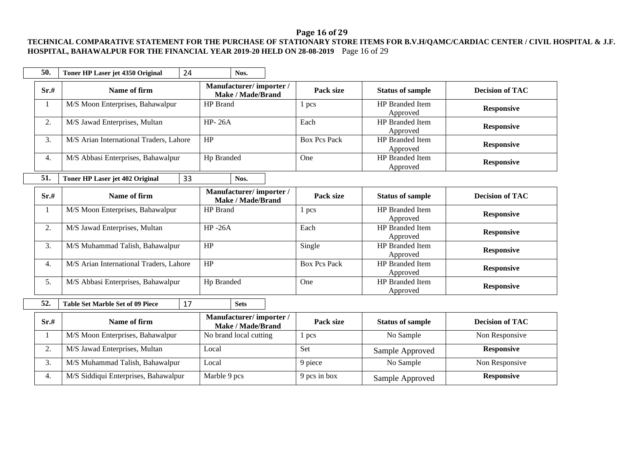# **Page 16 of 29**

### **TECHNICAL COMPARATIVE STATEMENT FOR THE PURCHASE OF STATIONARY STORE ITEMS FOR B.V.H/QAMC/CARDIAC CENTER / CIVIL HOSPITAL & J.F. HOSPITAL, BAHAWALPUR FOR THE FINANCIAL YEAR 2019-20 HELD ON 28-08-2019** Page 16 of 29

| 50.  | Toner HP Laser jet 4350 Original        | 24              | Nos.                                        |                     |                                    |                        |
|------|-----------------------------------------|-----------------|---------------------------------------------|---------------------|------------------------------------|------------------------|
| Sr.# | Name of firm                            |                 | Manufacturer/importer/<br>Make / Made/Brand | Pack size           | <b>Status of sample</b>            | <b>Decision of TAC</b> |
| 1    | M/S Moon Enterprises, Bahawalpur        | <b>HP</b> Brand |                                             | 1 pcs               | <b>HP</b> Branded Item<br>Approved | <b>Responsive</b>      |
| 2.   | M/S Jawad Enterprises, Multan           | <b>HP-26A</b>   |                                             | Each                | <b>HP</b> Branded Item<br>Approved | <b>Responsive</b>      |
| 3.   | M/S Arian International Traders, Lahore | HP              |                                             | <b>Box Pcs Pack</b> | <b>HP</b> Branded Item<br>Approved | <b>Responsive</b>      |
| 4.   | M/S Abbasi Enterprises, Bahawalpur      | Hp Branded      |                                             | One                 | <b>HP</b> Branded Item<br>Approved | <b>Responsive</b>      |
| 51.  | Toner HP Laser jet 402 Original         | 33              | Nos.                                        |                     |                                    |                        |
| Sr.# | Name of firm                            |                 | Manufacturer/importer/<br>Make / Made/Brand | Pack size           | <b>Status of sample</b>            | <b>Decision of TAC</b> |
| -1   | M/S Moon Enterprises, Bahawalpur        | <b>HP</b> Brand |                                             | 1 pcs               | <b>HP</b> Branded Item<br>Approved | <b>Responsive</b>      |
| 2.   |                                         |                 |                                             |                     |                                    |                        |
|      | M/S Jawad Enterprises, Multan           | $HP - 26A$      |                                             | Each                | <b>HP</b> Branded Item<br>Approved | <b>Responsive</b>      |
| 3.   | M/S Muhammad Talish, Bahawalpur         | HP              |                                             | Single              | <b>HP</b> Branded Item<br>Approved | <b>Responsive</b>      |
| 4.   | M/S Arian International Traders, Lahore | HP              |                                             | <b>Box Pcs Pack</b> | <b>HP</b> Branded Item<br>Approved | <b>Responsive</b>      |
| 5.   | M/S Abbasi Enterprises, Bahawalpur      | Hp Branded      |                                             | One                 | <b>HP</b> Branded Item<br>Approved | <b>Responsive</b>      |
| 52.  | <b>Table Set Marble Set of 09 Piece</b> | 17              | <b>Sets</b>                                 |                     |                                    |                        |

| Sr.# | Name of firm                         | <b>Mahulacturer</b> / <b>Importer</b> /<br><b>Make / Made/Brand</b> | Pack size    | <b>Status of sample</b> | <b>Decision of TAC</b> |
|------|--------------------------------------|---------------------------------------------------------------------|--------------|-------------------------|------------------------|
|      | M/S Moon Enterprises, Bahawalpur     | No brand local cutting                                              | pcs          | No Sample               | Non Responsive         |
| ٠.   | M/S Jawad Enterprises, Multan        | Local                                                               | Set          | Sample Approved         | <b>Responsive</b>      |
| J.   | M/S Muhammad Talish, Bahawalpur      | Local                                                               | 9 piece      | No Sample               | Non Responsive         |
| 4.   | M/S Siddiqui Enterprises, Bahawalpur | Marble 9 pcs                                                        | 9 pcs in box | Sample Approved         | <b>Responsive</b>      |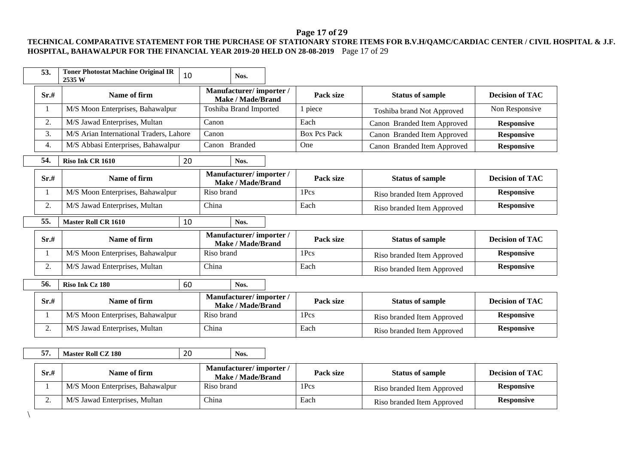### **Page 17 of 29**

#### **TECHNICAL COMPARATIVE STATEMENT FOR THE PURCHASE OF STATIONARY STORE ITEMS FOR B.V.H/QAMC/CARDIAC CENTER / CIVIL HOSPITAL & J.F. HOSPITAL, BAHAWALPUR FOR THE FINANCIAL YEAR 2019-20 HELD ON 28-08-2019** Page 17 of 29

| 53.  | <b>Toner Photostat Machine Original IR</b><br>2535 W | 10 |            | Nos.                                               |                     |                             |                        |
|------|------------------------------------------------------|----|------------|----------------------------------------------------|---------------------|-----------------------------|------------------------|
| Sr.# | Name of firm                                         |    |            | Manufacturer/importer/<br>Make / Made/Brand        | Pack size           | <b>Status of sample</b>     | <b>Decision of TAC</b> |
| 1    | M/S Moon Enterprises, Bahawalpur                     |    |            | Toshiba Brand Imported                             | 1 piece             | Toshiba brand Not Approved  | Non Responsive         |
| 2.   | M/S Jawad Enterprises, Multan                        |    | Canon      |                                                    | Each                | Canon Branded Item Approved | <b>Responsive</b>      |
| 3.   | M/S Arian International Traders, Lahore              |    | Canon      |                                                    | <b>Box Pcs Pack</b> | Canon Branded Item Approved | <b>Responsive</b>      |
| 4.   | M/S Abbasi Enterprises, Bahawalpur                   |    | Canon      | <b>Branded</b>                                     | One                 | Canon Branded Item Approved | <b>Responsive</b>      |
| 54.  | Riso Ink CR 1610                                     | 20 |            | Nos.                                               |                     |                             |                        |
| Sr.# | Name of firm                                         |    |            | Manufacturer/importer/<br><b>Make / Made/Brand</b> | Pack size           | <b>Status of sample</b>     | <b>Decision of TAC</b> |
| 1    | M/S Moon Enterprises, Bahawalpur                     |    | Riso brand |                                                    | 1Pcs                | Riso branded Item Approved  | <b>Responsive</b>      |
| 2.   | M/S Jawad Enterprises, Multan                        |    | China      |                                                    | Each                | Riso branded Item Approved  | <b>Responsive</b>      |
|      |                                                      |    |            |                                                    |                     |                             |                        |
| 55.  | <b>Master Roll CR 1610</b>                           | 10 |            | Nos.                                               |                     |                             |                        |
| Sr.# | Name of firm                                         |    |            | Manufacturer/importer/<br><b>Make / Made/Brand</b> | Pack size           | <b>Status of sample</b>     | <b>Decision of TAC</b> |
| 1    | M/S Moon Enterprises, Bahawalpur                     |    | Riso brand |                                                    | 1Pcs                | Riso branded Item Approved  | <b>Responsive</b>      |
| 2.   | M/S Jawad Enterprises, Multan                        |    | China      |                                                    | Each                | Riso branded Item Approved  | <b>Responsive</b>      |
| 56.  | Riso Ink Cz 180                                      | 60 |            | Nos.                                               |                     |                             |                        |
| Sr.# | Name of firm                                         |    |            | Manufacturer/importer/<br><b>Make / Made/Brand</b> | Pack size           | <b>Status of sample</b>     | <b>Decision of TAC</b> |
| 1    | M/S Moon Enterprises, Bahawalpur                     |    | Riso brand |                                                    | 1Pcs                | Riso branded Item Approved  | <b>Responsive</b>      |
| 2.   | M/S Jawad Enterprises, Multan                        |    | China      |                                                    | Each                | Riso branded Item Approved  | <b>Responsive</b>      |
|      |                                                      |    |            |                                                    |                     |                             |                        |

| Sr.#     | Name of firm                     | Manufacturer/importer/<br>Make / Made/Brand | Pack size | <b>Status of sample</b>    | <b>Decision of TAC</b> |
|----------|----------------------------------|---------------------------------------------|-----------|----------------------------|------------------------|
|          | M/S Moon Enterprises, Bahawalpur | Riso brand                                  | 1Pcs      | Riso branded Item Approved | <b>Responsive</b>      |
| <u>.</u> | M/S Jawad Enterprises, Multan    | China                                       | Each      | Riso branded Item Approved | <b>Responsive</b>      |

\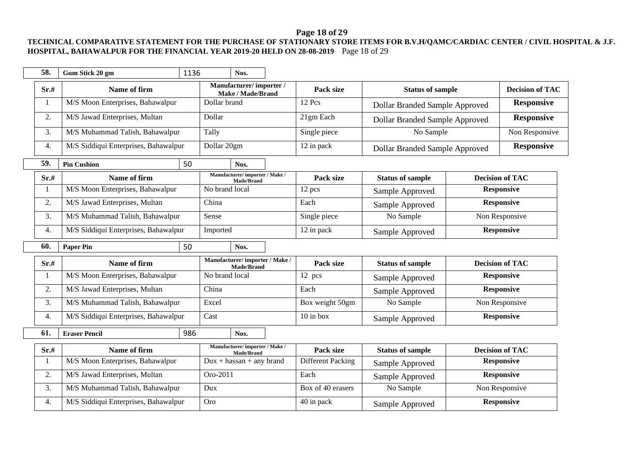# **Page 18 of 29**

### **TECHNICAL COMPARATIVE STATEMENT FOR THE PURCHASE OF STATIONARY STORE ITEMS FOR B.V.H/QAMC/CARDIAC CENTER / CIVIL HOSPITAL & J.F. HOSPITAL, BAHAWALPUR FOR THE FINANCIAL YEAR 2019-20 HELD ON 28-08-2019** Page 18 of 29

| 58.          | Gum Stick 20 gm                      | 1136 |                | Nos.                                                |           |                                       |                                       |                   |                        |
|--------------|--------------------------------------|------|----------------|-----------------------------------------------------|-----------|---------------------------------------|---------------------------------------|-------------------|------------------------|
| Sr.#         | Name of firm                         |      |                | Manufacturer/importer/<br><b>Make / Made/Brand</b>  |           | Pack size                             | <b>Status of sample</b>               |                   | <b>Decision of TAC</b> |
| $\mathbf{1}$ | M/S Moon Enterprises, Bahawalpur     |      | Dollar brand   |                                                     | 12 Pcs    | <b>Dollar Branded Sample Approved</b> |                                       | <b>Responsive</b> |                        |
| 2.           | M/S Jawad Enterprises, Multan        |      | Dollar         |                                                     | 21gm Each | <b>Dollar Branded Sample Approved</b> |                                       | <b>Responsive</b> |                        |
| 3.           | M/S Muhammad Talish, Bahawalpur      |      | Tally          |                                                     |           | Single piece                          | No Sample                             |                   | Non Responsive         |
| 4.           | M/S Siddiqui Enterprises, Bahawalpur |      | Dollar 20gm    |                                                     |           | 12 in pack                            | <b>Dollar Branded Sample Approved</b> |                   | <b>Responsive</b>      |
| 59.          | <b>Pin Cushion</b>                   | 50   |                | Nos.                                                |           |                                       |                                       |                   |                        |
| Sr.#         | Name of firm                         |      |                | Manufacturer/importer / Make /<br><b>Made/Brand</b> |           | Pack size                             | <b>Status of sample</b>               |                   | <b>Decision of TAC</b> |
| -1           | M/S Moon Enterprises, Bahawalpur     |      | No brand local |                                                     |           | 12 pcs                                | Sample Approved                       |                   | <b>Responsive</b>      |
| 2.           | M/S Jawad Enterprises, Multan        |      | China          |                                                     |           | Each                                  | Sample Approved                       |                   | <b>Responsive</b>      |
| 3.           | M/S Muhammad Talish, Bahawalpur      |      | Sense          |                                                     |           | Single piece                          | No Sample                             |                   | Non Responsive         |
| 4.           | M/S Siddiqui Enterprises, Bahawalpur |      | Imported       |                                                     |           | 12 in pack<br>Sample Approved         |                                       |                   | <b>Responsive</b>      |
|              |                                      |      |                |                                                     |           |                                       |                                       |                   |                        |
| 60.          | <b>Paper Pin</b>                     | 50   |                | Nos.                                                |           |                                       |                                       |                   |                        |
| Sr.#         | Name of firm                         |      |                | Manufacturer/importer / Make /<br>Made/Brand        |           | Pack size                             | <b>Status of sample</b>               |                   | <b>Decision of TAC</b> |
| -1           | M/S Moon Enterprises, Bahawalpur     |      | No brand local |                                                     |           | 12 pcs                                | Sample Approved                       |                   | <b>Responsive</b>      |
| 2.           | M/S Jawad Enterprises, Multan        |      | China          |                                                     |           | Each                                  | Sample Approved                       |                   | <b>Responsive</b>      |
| 3.           | M/S Muhammad Talish, Bahawalpur      |      | Excel          |                                                     |           | Box weight 50gm                       | No Sample                             |                   | Non Responsive         |
| 4.           | M/S Siddiqui Enterprises, Bahawalpur |      | Cast           |                                                     |           | $10$ in box                           | Sample Approved                       |                   | <b>Responsive</b>      |
| 61.          | <b>Eraser Pencil</b>                 | 986  |                | Nos.                                                |           |                                       |                                       |                   |                        |
| Sr.#         | Name of firm                         |      |                | Manufacturer/importer / Make /                      |           | Pack size                             | <b>Status of sample</b>               |                   | <b>Decision of TAC</b> |
| 1            | M/S Moon Enterprises, Bahawalpur     |      |                | <b>Made/Brand</b><br>$Dux + hassan + any brand$     |           | Different Packing                     | Sample Approved                       |                   | <b>Responsive</b>      |
| 2.           | M/S Jawad Enterprises, Multan        |      | Oro-2011       |                                                     |           | Each                                  | Sample Approved                       |                   | <b>Responsive</b>      |
| 3.           | M/S Muhammad Talish, Bahawalpur      |      | Dux            |                                                     |           | Box of 40 erasers                     | No Sample                             |                   | Non Responsive         |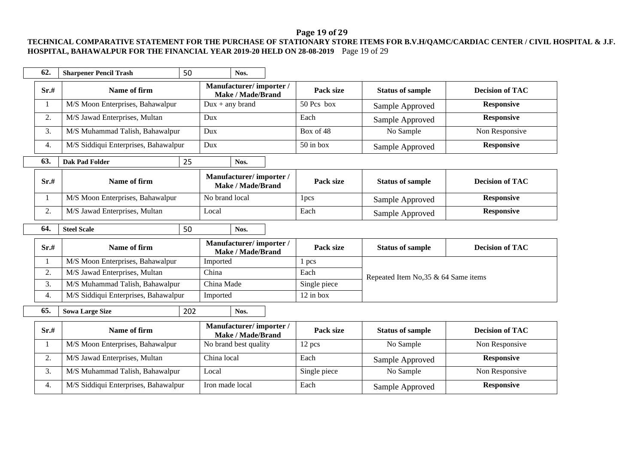# **Page 19 of 29**

### **TECHNICAL COMPARATIVE STATEMENT FOR THE PURCHASE OF STATIONARY STORE ITEMS FOR B.V.H/QAMC/CARDIAC CENTER / CIVIL HOSPITAL & J.F. HOSPITAL, BAHAWALPUR FOR THE FINANCIAL YEAR 2019-20 HELD ON 28-08-2019** Page 19 of 29

| 62.  | <b>Sharpener Pencil Trash</b>        | 50  | Nos.                                               |  |              |                                      |                        |
|------|--------------------------------------|-----|----------------------------------------------------|--|--------------|--------------------------------------|------------------------|
| Sr.# | Name of firm                         |     | Manufacturer/importer/<br>Make / Made/Brand        |  | Pack size    | <b>Status of sample</b>              | <b>Decision of TAC</b> |
|      | M/S Moon Enterprises, Bahawalpur     |     | $Dux + any brand$                                  |  | 50 Pcs box   | Sample Approved                      | <b>Responsive</b>      |
| 2.   | M/S Jawad Enterprises, Multan        |     | Dux                                                |  | Each         | Sample Approved                      | <b>Responsive</b>      |
| 3.   | M/S Muhammad Talish, Bahawalpur      |     | Dux                                                |  | Box of 48    | No Sample                            | Non Responsive         |
| 4.   | M/S Siddiqui Enterprises, Bahawalpur |     | Dux                                                |  | $50$ in box  | Sample Approved                      | <b>Responsive</b>      |
| 63.  | <b>Dak Pad Folder</b>                | 25  | Nos.                                               |  |              |                                      |                        |
| Sr.# | Name of firm                         |     | Manufacturer/importer/<br><b>Make / Made/Brand</b> |  | Pack size    | <b>Status of sample</b>              | <b>Decision of TAC</b> |
| 1    | M/S Moon Enterprises, Bahawalpur     |     | No brand local                                     |  | 1pcs         | Sample Approved                      | <b>Responsive</b>      |
| 2.   | M/S Jawad Enterprises, Multan        |     | Local                                              |  | Each         | Sample Approved                      | <b>Responsive</b>      |
| 64.  | <b>Steel Scale</b>                   | 50  | Nos.                                               |  |              |                                      |                        |
| Sr.# | Name of firm                         |     | Manufacturer/importer/<br><b>Make / Made/Brand</b> |  | Pack size    | <b>Status of sample</b>              | <b>Decision of TAC</b> |
| 1    | M/S Moon Enterprises, Bahawalpur     |     | Imported                                           |  | 1 pcs        |                                      |                        |
| 2.   | M/S Jawad Enterprises, Multan        |     | China                                              |  | Each         | Repeated Item No, 35 & 64 Same items |                        |
| 3.   | M/S Muhammad Talish, Bahawalpur      |     | China Made                                         |  | Single piece |                                      |                        |
| 4.   | M/S Siddiqui Enterprises, Bahawalpur |     | Imported                                           |  | $12$ in box  |                                      |                        |
| 65.  | <b>Sowa Large Size</b>               | 202 | Nos.                                               |  |              |                                      |                        |
| Sr.# | Name of firm                         |     | Manufacturer/importer/<br>Make / Made/Brand        |  | Pack size    | <b>Status of sample</b>              | <b>Decision of TAC</b> |
| 1    | M/S Moon Enterprises, Bahawalpur     |     | No brand best quality                              |  | 12 pcs       | No Sample                            | Non Responsive         |
| 2.   | M/S Jawad Enterprises, Multan        |     | China local                                        |  | Each         | Sample Approved                      | <b>Responsive</b>      |
| 3.   | M/S Muhammad Talish, Bahawalpur      |     | Local                                              |  | Single piece | No Sample                            | Non Responsive         |
| 4.   | M/S Siddiqui Enterprises, Bahawalpur |     | Iron made local                                    |  | Each         | Sample Approved                      | <b>Responsive</b>      |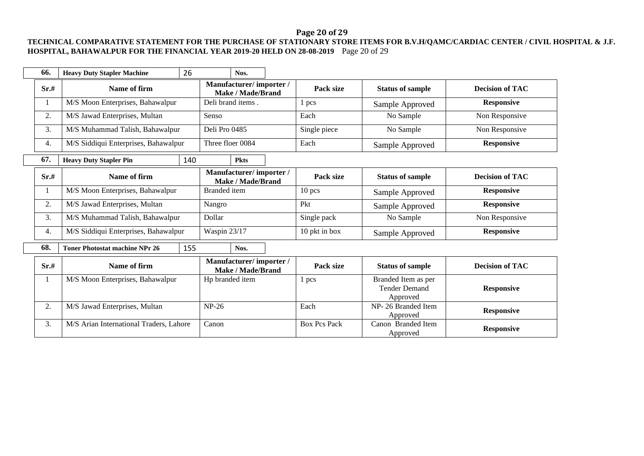# **Page 20 of 29**

### **TECHNICAL COMPARATIVE STATEMENT FOR THE PURCHASE OF STATIONARY STORE ITEMS FOR B.V.H/QAMC/CARDIAC CENTER / CIVIL HOSPITAL & J.F. HOSPITAL, BAHAWALPUR FOR THE FINANCIAL YEAR 2019-20 HELD ON 28-08-2019** Page 20 of 29

| 66.                                           | <b>Heavy Duty Stapler Machine</b>                                | 26    | Nos.                                               |                     |                                |                                                         |                        |
|-----------------------------------------------|------------------------------------------------------------------|-------|----------------------------------------------------|---------------------|--------------------------------|---------------------------------------------------------|------------------------|
| Sr.#                                          | Name of firm                                                     |       | Manufacturer/importer/<br>Make / Made/Brand        |                     | Pack size                      | <b>Status of sample</b>                                 | <b>Decision of TAC</b> |
|                                               | M/S Moon Enterprises, Bahawalpur                                 |       | Deli brand items.                                  |                     | 1 pcs                          | Sample Approved                                         | <b>Responsive</b>      |
| 2.                                            | M/S Jawad Enterprises, Multan<br>M/S Muhammad Talish, Bahawalpur |       | Senso                                              |                     | Each                           | No Sample                                               | Non Responsive         |
| 3.                                            |                                                                  |       | Deli Pro 0485                                      |                     | Single piece                   | No Sample                                               | Non Responsive         |
| 4.                                            | M/S Siddiqui Enterprises, Bahawalpur                             |       | Three floer 0084                                   |                     | Each                           | Sample Approved                                         | <b>Responsive</b>      |
| 67.                                           | <b>Heavy Duty Stapler Pin</b>                                    | 140   | <b>Pkts</b>                                        |                     |                                |                                                         |                        |
| Sr.#                                          | Name of firm                                                     |       | Manufacturer/importer/<br><b>Make / Made/Brand</b> |                     | Pack size                      | <b>Status of sample</b>                                 | <b>Decision of TAC</b> |
|                                               | M/S Moon Enterprises, Bahawalpur                                 |       | <b>Branded</b> item                                |                     | 10 pcs                         | Sample Approved                                         | <b>Responsive</b>      |
| 2.                                            | M/S Jawad Enterprises, Multan                                    |       | Nangro                                             |                     | Pkt                            | Sample Approved                                         | <b>Responsive</b>      |
| 3.                                            | M/S Muhammad Talish, Bahawalpur                                  |       | Dollar                                             |                     | Single pack                    | No Sample                                               | Non Responsive         |
| 4.                                            | M/S Siddiqui Enterprises, Bahawalpur                             |       | Waspin 23/17                                       |                     | 10 pkt in box                  | Sample Approved                                         | <b>Responsive</b>      |
| 68.                                           | <b>Toner Photostat machine NPr 26</b>                            | 155   | Nos.                                               |                     |                                |                                                         |                        |
| Sr.#                                          | Name of firm                                                     |       | Manufacturer/importer/<br><b>Make / Made/Brand</b> |                     | Pack size                      | <b>Status of sample</b>                                 | <b>Decision of TAC</b> |
|                                               | M/S Moon Enterprises, Bahawalpur                                 |       | Hp branded item                                    |                     | 1 pcs                          | Branded Item as per<br><b>Tender Demand</b><br>Approved | <b>Responsive</b>      |
| 2.                                            | M/S Jawad Enterprises, Multan                                    |       | $NP-26$                                            |                     | Each                           | NP-26 Branded Item<br>Approved                          | <b>Responsive</b>      |
| 3.<br>M/S Arian International Traders, Lahore |                                                                  | Canon |                                                    | <b>Box Pcs Pack</b> | Canon Branded Item<br>Approved | <b>Responsive</b>                                       |                        |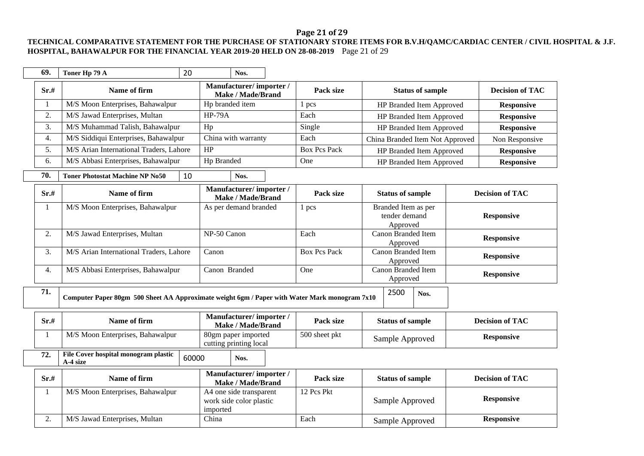# **Page 21 of 29**

### **TECHNICAL COMPARATIVE STATEMENT FOR THE PURCHASE OF STATIONARY STORE ITEMS FOR B.V.H/QAMC/CARDIAC CENTER / CIVIL HOSPITAL & J.F. HOSPITAL, BAHAWALPUR FOR THE FINANCIAL YEAR 2019-20 HELD ON 28-08-2019** Page 21 of 29

 $\overline{\phantom{a}}$ 

|     | 69.  | Toner Hp 79 A                                                                                 | 20 |                                                                | Nos.                                               |                         |                     |                                                                  |                                                  |                                 |                   |                        |
|-----|------|-----------------------------------------------------------------------------------------------|----|----------------------------------------------------------------|----------------------------------------------------|-------------------------|---------------------|------------------------------------------------------------------|--------------------------------------------------|---------------------------------|-------------------|------------------------|
|     | Sr.# | Name of firm                                                                                  |    |                                                                | Manufacturer/importer/<br><b>Make / Made/Brand</b> |                         | Pack size           |                                                                  |                                                  | <b>Status of sample</b>         |                   | <b>Decision of TAC</b> |
| 1   |      | M/S Moon Enterprises, Bahawalpur                                                              |    | Hp branded item                                                |                                                    |                         | 1 pcs               |                                                                  |                                                  | HP Branded Item Approved        |                   | <b>Responsive</b>      |
|     | 2.   | M/S Jawad Enterprises, Multan                                                                 |    | <b>HP-79A</b>                                                  |                                                    |                         | Each                | HP Branded Item Approved                                         |                                                  |                                 |                   | <b>Responsive</b>      |
|     | 3.   | M/S Muhammad Talish, Bahawalpur                                                               |    | Hp                                                             |                                                    |                         | Single              | HP Branded Item Approved                                         |                                                  |                                 |                   | <b>Responsive</b>      |
|     | 4.   | M/S Siddiqui Enterprises, Bahawalpur                                                          |    |                                                                | China with warranty                                |                         | Each                |                                                                  |                                                  | China Branded Item Not Approved |                   | Non Responsive         |
|     | 5.   | M/S Arian International Traders, Lahore<br>HP                                                 |    |                                                                | <b>Box Pcs Pack</b>                                |                         |                     | HP Branded Item Approved                                         |                                                  | <b>Responsive</b>               |                   |                        |
|     | 6.   | M/S Abbasi Enterprises, Bahawalpur                                                            |    | Hp Branded                                                     |                                                    |                         | One                 |                                                                  |                                                  | HP Branded Item Approved        |                   | <b>Responsive</b>      |
| 70. |      | 10<br><b>Toner Photostat Machine NP No50</b>                                                  |    |                                                                | Nos.                                               |                         |                     |                                                                  |                                                  |                                 |                   |                        |
|     | Sr.# | Name of firm                                                                                  |    |                                                                | Manufacturer/importer/<br><b>Make / Made/Brand</b> |                         | Pack size           |                                                                  | <b>Status of sample</b>                          |                                 |                   | <b>Decision of TAC</b> |
| 1   |      | M/S Moon Enterprises, Bahawalpur                                                              |    |                                                                | As per demand branded                              |                         | 1 pcs               |                                                                  | Branded Item as per<br>tender demand<br>Approved |                                 |                   | <b>Responsive</b>      |
|     | 2.   | M/S Jawad Enterprises, Multan                                                                 |    | NP-50 Canon                                                    |                                                    |                         | Each                | Canon Branded Item<br>Approved<br>Canon Branded Item<br>Approved |                                                  |                                 | <b>Responsive</b> |                        |
|     | 3.   | M/S Arian International Traders, Lahore                                                       |    | Canon                                                          |                                                    |                         | <b>Box Pcs Pack</b> |                                                                  |                                                  |                                 | <b>Responsive</b> |                        |
|     | 4.   | M/S Abbasi Enterprises, Bahawalpur                                                            |    | Canon Branded                                                  |                                                    |                         | One                 |                                                                  | Canon Branded Item<br>Approved                   |                                 |                   | <b>Responsive</b>      |
| 71. |      | Computer Paper 80gm 500 Sheet AA Approximate weight 6gm / Paper with Water Mark monogram 7x10 |    |                                                                |                                                    |                         |                     | 2500                                                             | Nos.                                             |                                 |                   |                        |
|     | Sr.# | Name of firm                                                                                  |    |                                                                | Manufacturer/importer/<br><b>Make / Made/Brand</b> |                         | Pack size           |                                                                  | <b>Status of sample</b>                          |                                 |                   | <b>Decision of TAC</b> |
| 1   |      | M/S Moon Enterprises, Bahawalpur                                                              |    |                                                                | 80gm paper imported<br>cutting printing local      |                         | 500 sheet pkt       |                                                                  | Sample Approved                                  |                                 |                   | <b>Responsive</b>      |
| 72. |      | File Cover hospital monogram plastic<br>60000<br>A-4 size                                     |    |                                                                | Nos.                                               |                         |                     |                                                                  |                                                  |                                 |                   |                        |
|     | Sr.# | Manufacturer/importer/<br>Name of firm<br><b>Make / Made/Brand</b>                            |    | Pack size                                                      |                                                    | <b>Status of sample</b> |                     |                                                                  | <b>Decision of TAC</b>                           |                                 |                   |                        |
| 1   |      | M/S Moon Enterprises, Bahawalpur                                                              |    | A4 one side transparent<br>work side color plastic<br>imported |                                                    |                         | 12 Pcs Pkt          |                                                                  | Sample Approved                                  |                                 |                   | <b>Responsive</b>      |
|     | 2.   | M/S Jawad Enterprises, Multan                                                                 |    | China                                                          |                                                    |                         | Each                |                                                                  | Sample Approved                                  |                                 |                   | <b>Responsive</b>      |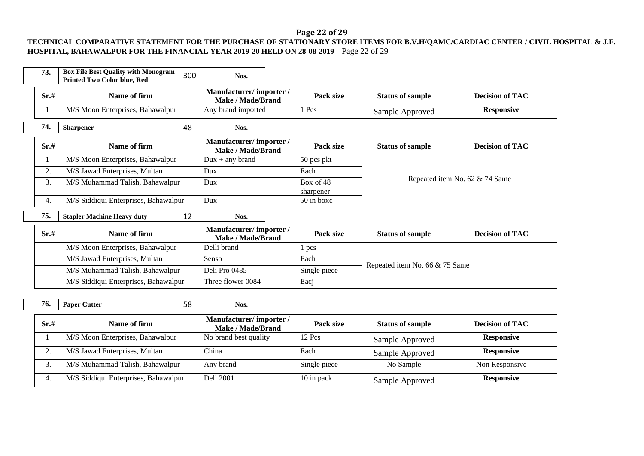# **Page 22 of 29**

### **TECHNICAL COMPARATIVE STATEMENT FOR THE PURCHASE OF STATIONARY STORE ITEMS FOR B.V.H/QAMC/CARDIAC CENTER / CIVIL HOSPITAL & J.F. HOSPITAL, BAHAWALPUR FOR THE FINANCIAL YEAR 2019-20 HELD ON 28-08-2019** Page 22 of 29

| 73.                                  | <b>Box File Best Quality with Monogram</b><br><b>Printed Two Color blue, Red</b> | 300 |                                             | Nos.                                        |           |                         |                                |                                |  |
|--------------------------------------|----------------------------------------------------------------------------------|-----|---------------------------------------------|---------------------------------------------|-----------|-------------------------|--------------------------------|--------------------------------|--|
| Sr.#                                 | Name of firm                                                                     |     | Manufacturer/importer/<br>Make / Made/Brand |                                             | Pack size | <b>Status of sample</b> | <b>Decision of TAC</b>         |                                |  |
|                                      | M/S Moon Enterprises, Bahawalpur                                                 |     | Any brand imported                          |                                             |           | 1 Pcs                   | Sample Approved                | <b>Responsive</b>              |  |
| 74.                                  | 48<br><b>Sharpener</b>                                                           |     |                                             | Nos.                                        |           |                         |                                |                                |  |
| Sr.#                                 | Name of firm                                                                     |     |                                             | Manufacturer/importer/<br>Make / Made/Brand |           | Pack size               | <b>Status of sample</b>        | <b>Decision of TAC</b>         |  |
|                                      | M/S Moon Enterprises, Bahawalpur                                                 |     |                                             | $Dux + any brand$                           |           | 50 pcs pkt              |                                |                                |  |
| 2.                                   | M/S Jawad Enterprises, Multan<br>Dux                                             |     |                                             |                                             |           | Each                    |                                |                                |  |
| 3.                                   | M/S Muhammad Talish, Bahawalpur                                                  |     | Dux                                         |                                             |           | Box of 48<br>sharpener  |                                | Repeated item No. 62 & 74 Same |  |
| 4.                                   | M/S Siddiqui Enterprises, Bahawalpur                                             |     | Dux                                         |                                             |           | $50$ in boxc            |                                |                                |  |
| 75.                                  | <b>Stapler Machine Heavy duty</b>                                                | 12  |                                             | Nos.                                        |           |                         |                                |                                |  |
| Sr.#                                 | Name of firm                                                                     |     |                                             | Manufacturer/importer/<br>Make / Made/Brand |           | Pack size               | <b>Status of sample</b>        | <b>Decision of TAC</b>         |  |
|                                      | M/S Moon Enterprises, Bahawalpur                                                 |     | Delli brand                                 |                                             |           | 1 pcs                   |                                |                                |  |
|                                      | M/S Jawad Enterprises, Multan                                                    |     | Senso                                       |                                             |           | Each                    |                                |                                |  |
|                                      | M/S Muhammad Talish, Bahawalpur                                                  |     |                                             | Deli Pro 0485                               |           | Single piece            | Repeated item No. 66 & 75 Same |                                |  |
| M/S Siddiqui Enterprises, Bahawalpur |                                                                                  |     | Three flower 0084                           |                                             | Eacj      |                         |                                |                                |  |
| $\sim$<br>$ -$<br><b>Security</b>    |                                                                                  |     |                                             |                                             |           |                         |                                |                                |  |

| 76.<br><b>Paper Cutter</b> | $\overline{\phantom{a}}$<br>oc | Nos. |
|----------------------------|--------------------------------|------|
|----------------------------|--------------------------------|------|

| Sr.# | Name of firm                         | Manufacturer/importer/<br>Make / Made/Brand | Pack size    | <b>Status of sample</b> | <b>Decision of TAC</b> |
|------|--------------------------------------|---------------------------------------------|--------------|-------------------------|------------------------|
|      | M/S Moon Enterprises, Bahawalpur     | No brand best quality                       | $12$ Pcs     | Sample Approved         | <b>Responsive</b>      |
| ٠.   | M/S Jawad Enterprises, Multan        | ∑hina                                       | Each         | Sample Approved         | <b>Responsive</b>      |
| . ب  | M/S Muhammad Talish, Bahawalpur      | Any brand                                   | Single piece | No Sample               | Non Responsive         |
| 4.   | M/S Siddiqui Enterprises, Bahawalpur | Deli 2001                                   | 10 in pack   | Sample Approved         | <b>Responsive</b>      |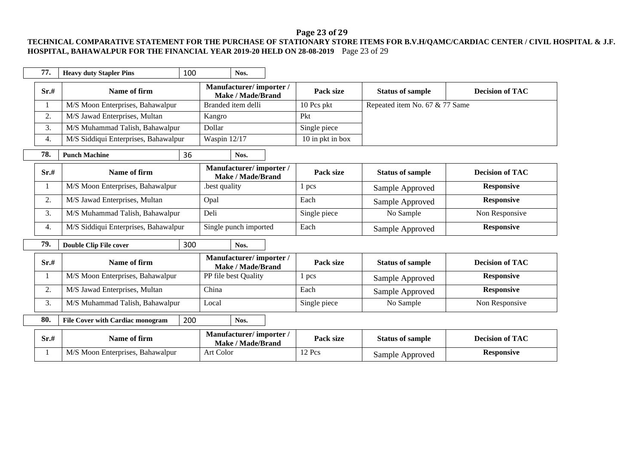# **Page 23 of 29**

### **TECHNICAL COMPARATIVE STATEMENT FOR THE PURCHASE OF STATIONARY STORE ITEMS FOR B.V.H/QAMC/CARDIAC CENTER / CIVIL HOSPITAL & J.F. HOSPITAL, BAHAWALPUR FOR THE FINANCIAL YEAR 2019-20 HELD ON 28-08-2019** Page 23 of 29

| 77.  | <b>Heavy duty Stapler Pins</b>                         | 100 |                    | Nos.                                               |  |                  |                                |                        |
|------|--------------------------------------------------------|-----|--------------------|----------------------------------------------------|--|------------------|--------------------------------|------------------------|
| Sr.# | Name of firm                                           |     |                    | Manufacturer/importer/<br><b>Make / Made/Brand</b> |  | Pack size        | <b>Status of sample</b>        | <b>Decision of TAC</b> |
|      | M/S Moon Enterprises, Bahawalpur                       |     | Branded item delli |                                                    |  | 10 Pcs pkt       | Repeated item No. 67 & 77 Same |                        |
| 2.   | M/S Jawad Enterprises, Multan                          |     | Kangro             |                                                    |  | Pkt              |                                |                        |
| 3.   | M/S Muhammad Talish, Bahawalpur                        |     | Dollar             |                                                    |  | Single piece     |                                |                        |
| 4.   | M/S Siddiqui Enterprises, Bahawalpur                   |     | Waspin 12/17       |                                                    |  | 10 in pkt in box |                                |                        |
| 78.  | <b>Punch Machine</b>                                   | 36  |                    | Nos.                                               |  |                  |                                |                        |
| Sr.# | Name of firm                                           |     |                    | Manufacturer/importer/<br><b>Make / Made/Brand</b> |  | Pack size        | <b>Status of sample</b>        | <b>Decision of TAC</b> |
|      | M/S Moon Enterprises, Bahawalpur                       |     | best quality.      |                                                    |  | 1 pcs            | Sample Approved                | <b>Responsive</b>      |
| 2.   | M/S Jawad Enterprises, Multan                          |     | Opal               |                                                    |  | Each             | Sample Approved                | <b>Responsive</b>      |
| 3.   | M/S Muhammad Talish, Bahawalpur                        |     | Deli               |                                                    |  | Single piece     | No Sample                      | Non Responsive         |
| 4.   | M/S Siddiqui Enterprises, Bahawalpur                   |     |                    | Single punch imported                              |  | Each             | Sample Approved                | <b>Responsive</b>      |
| 79.  | <b>Double Clip File cover</b>                          | 300 |                    | Nos.                                               |  |                  |                                |                        |
| Sr.# | Name of firm                                           |     |                    | Manufacturer/importer/<br><b>Make / Made/Brand</b> |  | Pack size        | <b>Status of sample</b>        | <b>Decision of TAC</b> |
| 1    | M/S Moon Enterprises, Bahawalpur                       |     |                    | PP file best Quality                               |  | 1 pcs            | Sample Approved                | <b>Responsive</b>      |
| 2.   | M/S Jawad Enterprises, Multan                          |     | China              |                                                    |  | Each             | Sample Approved                | <b>Responsive</b>      |
| 3.   | M/S Muhammad Talish, Bahawalpur                        |     | Local              |                                                    |  | Single piece     | No Sample                      | Non Responsive         |
| 80.  | 200<br><b>File Cover with Cardiac monogram</b><br>Nos. |     |                    |                                                    |  |                  |                                |                        |
| Sr.# | Name of firm                                           |     |                    | Manufacturer/importer/<br><b>Make / Made/Brand</b> |  | Pack size        | <b>Status of sample</b>        | <b>Decision of TAC</b> |

| Sr.# | <b>Name of firm</b>              | Manufacturer/ importer /<br><b>Make / Made/Brand</b> | Pack size | <b>Status of sample</b> | <b>Decision of TAC</b> |
|------|----------------------------------|------------------------------------------------------|-----------|-------------------------|------------------------|
|      | M/S Moon Enterprises, Bahawalpur | Art Color                                            | 12 Pcs    | Sample Approved         | Responsive             |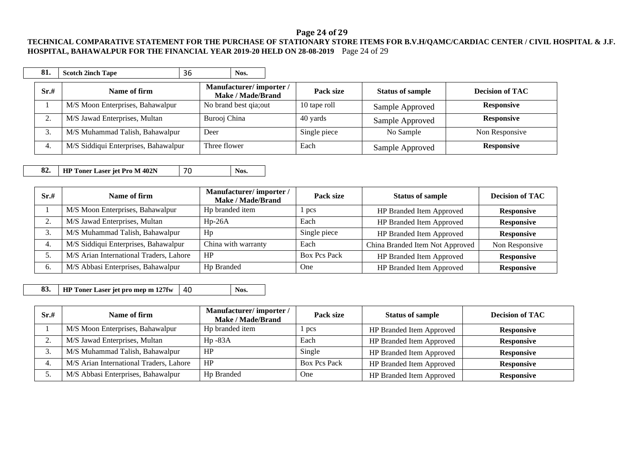#### **Page 24 of 29**

#### **TECHNICAL COMPARATIVE STATEMENT FOR THE PURCHASE OF STATIONARY STORE ITEMS FOR B.V.H/QAMC/CARDIAC CENTER / CIVIL HOSPITAL & J.F. HOSPITAL, BAHAWALPUR FOR THE FINANCIAL YEAR 2019-20 HELD ON 28-08-2019** Page 24 of 29

| 81.      |    | <b>Scotch 2inch Tape</b>             | 36 | Nos.                                        |  |              |                         |                        |
|----------|----|--------------------------------------|----|---------------------------------------------|--|--------------|-------------------------|------------------------|
| Sr.#     |    | Name of firm                         |    | Manufacturer/importer/<br>Make / Made/Brand |  | Pack size    | <b>Status of sample</b> | <b>Decision of TAC</b> |
|          |    | M/S Moon Enterprises, Bahawalpur     |    | No brand best qia; out                      |  | 10 tape roll | Sample Approved         | <b>Responsive</b>      |
| $\gamma$ |    | M/S Jawad Enterprises, Multan        |    | Burooj China                                |  | 40 yards     | Sample Approved         | <b>Responsive</b>      |
|          | 3. | M/S Muhammad Talish, Bahawalpur      |    | Deer                                        |  | Single piece | No Sample               | Non Responsive         |
| 4.       |    | M/S Siddiqui Enterprises, Bahawalpur |    | Three flower                                |  | Each         | Sample Approved         | <b>Responsive</b>      |

**82. HP Toner Laser jet Pro M 402N** 70 Nos.

| Sr.#    | Name of firm                            | Manufacturer/importer/<br>Make / Made/Brand | Pack size           | <b>Status of sample</b>         | <b>Decision of TAC</b> |
|---------|-----------------------------------------|---------------------------------------------|---------------------|---------------------------------|------------------------|
|         | M/S Moon Enterprises, Bahawalpur        | Hp branded item                             | pcs                 | HP Branded Item Approved        | <b>Responsive</b>      |
| ◠<br>۷. | M/S Jawad Enterprises, Multan           | $Hp-26A$                                    | Each                | HP Branded Item Approved        | <b>Responsive</b>      |
| 3.      | M/S Muhammad Talish, Bahawalpur         | Hp                                          | Single piece        | HP Branded Item Approved        | <b>Responsive</b>      |
| 4.      | M/S Siddiqui Enterprises, Bahawalpur    | China with warranty                         | Each                | China Branded Item Not Approved | Non Responsive         |
|         | M/S Arian International Traders, Lahore | HP                                          | <b>Box Pcs Pack</b> | HP Branded Item Approved        | <b>Responsive</b>      |
| 6.      | M/S Abbasi Enterprises, Bahawalpur      | Hp Branded                                  | One                 | HP Branded Item Approved        | <b>Responsive</b>      |

**83. HP** Toner Laser jet pro mep m 127fw 40 **Nos.** 

| Sr.# | Name of firm                            | Manufacturer/importer/<br><b>Make / Made/Brand</b> | Pack size           | <b>Status of sample</b>  | <b>Decision of TAC</b> |
|------|-----------------------------------------|----------------------------------------------------|---------------------|--------------------------|------------------------|
|      | M/S Moon Enterprises, Bahawalpur        | H <sub>p</sub> branded item                        | l pcs               | HP Branded Item Approved | <b>Responsive</b>      |
|      | M/S Jawad Enterprises, Multan           | $Hp - 83A$                                         | Each                | HP Branded Item Approved | <b>Responsive</b>      |
|      | M/S Muhammad Talish, Bahawalpur         | HP                                                 | Single              | HP Branded Item Approved | <b>Responsive</b>      |
|      | M/S Arian International Traders, Lahore | HP                                                 | <b>Box Pcs Pack</b> | HP Branded Item Approved | <b>Responsive</b>      |
|      | M/S Abbasi Enterprises, Bahawalpur      | Hp Branded                                         | One                 | HP Branded Item Approved | <b>Responsive</b>      |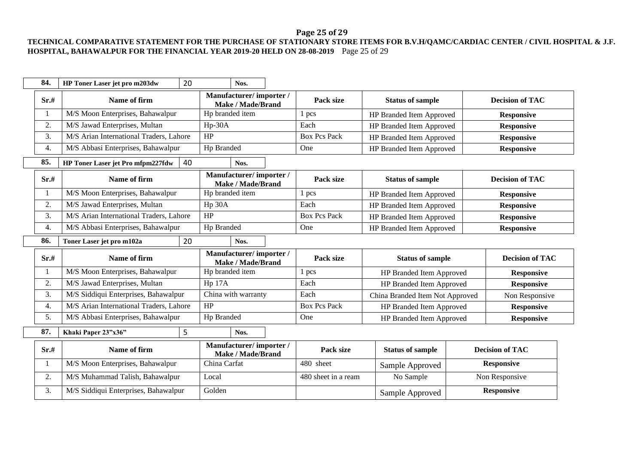# **Page 25 of 29**

#### **TECHNICAL COMPARATIVE STATEMENT FOR THE PURCHASE OF STATIONARY STORE ITEMS FOR B.V.H/QAMC/CARDIAC CENTER / CIVIL HOSPITAL & J.F. HOSPITAL, BAHAWALPUR FOR THE FINANCIAL YEAR 2019-20 HELD ON 28-08-2019** Page 25 of 29

| 84.  | HP Toner Laser jet pro m203dw           | 20 | Nos.                                               |                     |                                 |                   |                        |  |
|------|-----------------------------------------|----|----------------------------------------------------|---------------------|---------------------------------|-------------------|------------------------|--|
| Sr.# | Name of firm                            |    | Manufacturer/importer/<br><b>Make / Made/Brand</b> | Pack size           | <b>Status of sample</b>         |                   | <b>Decision of TAC</b> |  |
| 1    | M/S Moon Enterprises, Bahawalpur        |    | Hp branded item                                    | 1 pcs               | HP Branded Item Approved        |                   | <b>Responsive</b>      |  |
| 2.   | M/S Jawad Enterprises, Multan           |    | $Hp-30A$                                           | Each                | HP Branded Item Approved        |                   | <b>Responsive</b>      |  |
| 3.   | M/S Arian International Traders, Lahore |    | HP                                                 | <b>Box Pcs Pack</b> | HP Branded Item Approved        |                   | <b>Responsive</b>      |  |
| 4.   | M/S Abbasi Enterprises, Bahawalpur      |    | Hp Branded                                         | One                 | HP Branded Item Approved        |                   | <b>Responsive</b>      |  |
| 85.  | HP Toner Laser jet Pro mfpm227fdw       | 40 | Nos.                                               |                     |                                 |                   |                        |  |
| Sr.# | Name of firm                            |    | Manufacturer/importer/<br><b>Make / Made/Brand</b> | Pack size           | <b>Status of sample</b>         |                   | <b>Decision of TAC</b> |  |
| 1    | M/S Moon Enterprises, Bahawalpur        |    | Hp branded item                                    | 1 pcs               | HP Branded Item Approved        |                   | <b>Responsive</b>      |  |
| 2.   | M/S Jawad Enterprises, Multan           |    | Hp 30A                                             | Each                | HP Branded Item Approved        |                   | <b>Responsive</b>      |  |
| 3.   | M/S Arian International Traders, Lahore |    | HP                                                 | <b>Box Pcs Pack</b> | HP Branded Item Approved        |                   | <b>Responsive</b>      |  |
| 4.   | M/S Abbasi Enterprises, Bahawalpur      |    | Hp Branded                                         | One                 | HP Branded Item Approved        |                   | <b>Responsive</b>      |  |
| 86.  | Toner Laser jet pro m102a               | 20 | Nos.                                               |                     |                                 |                   |                        |  |
| Sr.# | Name of firm                            |    | Manufacturer/importer/<br><b>Make / Made/Brand</b> | Pack size           | <b>Status of sample</b>         |                   | <b>Decision of TAC</b> |  |
| 1    | M/S Moon Enterprises, Bahawalpur        |    | Hp branded item                                    | 1 pcs               | HP Branded Item Approved        |                   | <b>Responsive</b>      |  |
| 2.   | M/S Jawad Enterprises, Multan           |    | Hp 17A                                             | Each                | HP Branded Item Approved        |                   | <b>Responsive</b>      |  |
| 3.   | M/S Siddiqui Enterprises, Bahawalpur    |    | China with warranty                                | Each                | China Branded Item Not Approved |                   | Non Responsive         |  |
| 4.   | M/S Arian International Traders, Lahore |    | HP                                                 | <b>Box Pcs Pack</b> | HP Branded Item Approved        |                   | <b>Responsive</b>      |  |
| 5.   | M/S Abbasi Enterprises, Bahawalpur      |    | Hp Branded                                         | One                 | HP Branded Item Approved        |                   | <b>Responsive</b>      |  |
| 87.  | Khaki Paper 23"x36"                     | 5  | Nos.                                               |                     |                                 |                   |                        |  |
| Sr.# | Name of firm                            |    | Manufacturer/importer/<br><b>Make / Made/Brand</b> | Pack size           | <b>Status of sample</b>         |                   | <b>Decision of TAC</b> |  |
| 1    | M/S Moon Enterprises, Bahawalpur        |    | China Carfat                                       | 480 sheet           | Sample Approved                 |                   | <b>Responsive</b>      |  |
|      |                                         |    |                                                    | 480 sheet in a ream | No Sample                       | Non Responsive    |                        |  |
| 2.   | M/S Muhammad Talish, Bahawalpur         |    | Local                                              |                     |                                 | <b>Responsive</b> |                        |  |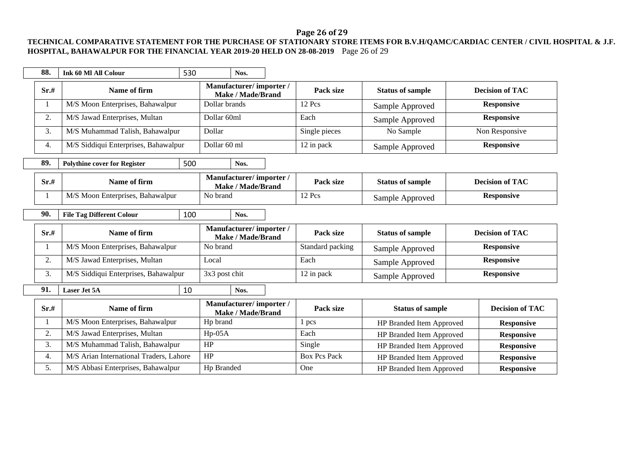# **Page 26 of 29**

### **TECHNICAL COMPARATIVE STATEMENT FOR THE PURCHASE OF STATIONARY STORE ITEMS FOR B.V.H/QAMC/CARDIAC CENTER / CIVIL HOSPITAL & J.F. HOSPITAL, BAHAWALPUR FOR THE FINANCIAL YEAR 2019-20 HELD ON 28-08-2019** Page 26 of 29

| 88.  | <b>Ink 60 MI All Colour</b>             | 530 | Nos.          |                                                    |                     |                          |                        |
|------|-----------------------------------------|-----|---------------|----------------------------------------------------|---------------------|--------------------------|------------------------|
| Sr.# | Name of firm                            |     |               | Manufacturer/importer/<br><b>Make / Made/Brand</b> | Pack size           | <b>Status of sample</b>  | <b>Decision of TAC</b> |
|      | M/S Moon Enterprises, Bahawalpur        |     | Dollar brands |                                                    | 12 Pcs              | Sample Approved          | <b>Responsive</b>      |
| 2.   | M/S Jawad Enterprises, Multan           |     | Dollar 60ml   |                                                    | Each                | Sample Approved          | <b>Responsive</b>      |
| 3.   | M/S Muhammad Talish, Bahawalpur         |     | Dollar        |                                                    | Single pieces       | No Sample                | Non Responsive         |
| 4.   | M/S Siddiqui Enterprises, Bahawalpur    |     | Dollar 60 ml  |                                                    | 12 in pack          | Sample Approved          | <b>Responsive</b>      |
| 89.  | <b>Polythine cover for Register</b>     | 500 | Nos.          |                                                    |                     |                          |                        |
| Sr.# | Name of firm                            |     |               | Manufacturer/importer/<br><b>Make / Made/Brand</b> | Pack size           | <b>Status of sample</b>  | <b>Decision of TAC</b> |
|      | M/S Moon Enterprises, Bahawalpur        |     | No brand      |                                                    | 12 Pcs              | Sample Approved          | <b>Responsive</b>      |
| 90.  | <b>File Tag Different Colour</b>        | 100 | Nos.          |                                                    |                     |                          |                        |
|      |                                         |     |               |                                                    |                     |                          |                        |
| Sr.# | Name of firm                            |     |               | Manufacturer/importer/<br>Make / Made/Brand        | Pack size           | <b>Status of sample</b>  | <b>Decision of TAC</b> |
| 1    | M/S Moon Enterprises, Bahawalpur        |     | No brand      |                                                    | Standard packing    | Sample Approved          | <b>Responsive</b>      |
| 2.   | M/S Jawad Enterprises, Multan           |     | Local         |                                                    | Each                | Sample Approved          | <b>Responsive</b>      |
| 3.   | M/S Siddiqui Enterprises, Bahawalpur    |     | 3x3 post chit |                                                    | 12 in pack          | Sample Approved          | <b>Responsive</b>      |
| 91.  | <b>Laser Jet 5A</b>                     | 10  | Nos.          |                                                    |                     |                          |                        |
| Sr.# | Name of firm                            |     |               | Manufacturer/importer/<br><b>Make / Made/Brand</b> | Pack size           | <b>Status of sample</b>  | <b>Decision of TAC</b> |
|      | M/S Moon Enterprises, Bahawalpur        |     | Hp brand      |                                                    | 1 pcs               | HP Branded Item Approved | <b>Responsive</b>      |
| 2.   | M/S Jawad Enterprises, Multan           |     | $Hp-05A$      |                                                    | Each                | HP Branded Item Approved | <b>Responsive</b>      |
| 3.   | M/S Muhammad Talish, Bahawalpur         |     | HP            |                                                    | Single              | HP Branded Item Approved | <b>Responsive</b>      |
| 4.   | M/S Arian International Traders, Lahore |     | HP            |                                                    | <b>Box Pcs Pack</b> | HP Branded Item Approved | <b>Responsive</b>      |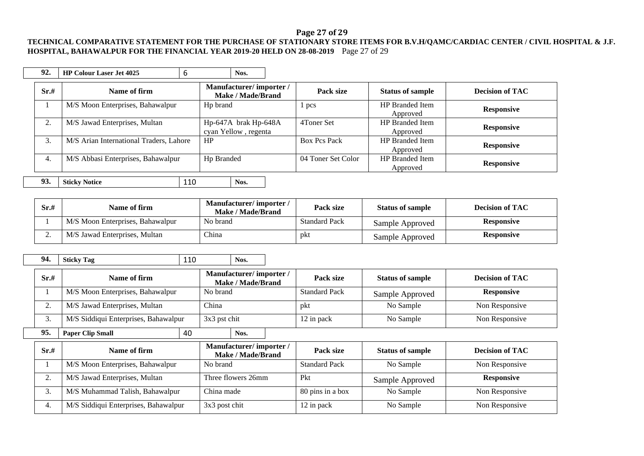#### **Page 27 of 29**

#### **TECHNICAL COMPARATIVE STATEMENT FOR THE PURCHASE OF STATIONARY STORE ITEMS FOR B.V.H/QAMC/CARDIAC CENTER / CIVIL HOSPITAL & J.F. HOSPITAL, BAHAWALPUR FOR THE FINANCIAL YEAR 2019-20 HELD ON 28-08-2019** Page 27 of 29

| 92.      | <b>HP Colour Laser Jet 4025</b>         | 6   |                                              | Nos.              |  |                     |                                    |                        |
|----------|-----------------------------------------|-----|----------------------------------------------|-------------------|--|---------------------|------------------------------------|------------------------|
| Sr.#     | Name of firm                            |     | Manufacturer/importer/                       | Make / Made/Brand |  | Pack size           | <b>Status of sample</b>            | <b>Decision of TAC</b> |
|          | M/S Moon Enterprises, Bahawalpur        |     | H <sub>p</sub> brand                         |                   |  | 1 pcs               | <b>HP</b> Branded Item<br>Approved | <b>Responsive</b>      |
| $\gamma$ | M/S Jawad Enterprises, Multan           |     | Hp-647A brak Hp-648A<br>cyan Yellow, regenta |                   |  | 4Toner Set          | <b>HP</b> Branded Item<br>Approved | <b>Responsive</b>      |
| 3.       | M/S Arian International Traders, Lahore |     | HP                                           |                   |  | <b>Box Pcs Pack</b> | <b>HP</b> Branded Item<br>Approved | <b>Responsive</b>      |
| 4.       | M/S Abbasi Enterprises, Bahawalpur      |     | Hp Branded                                   |                   |  | 04 Toner Set Color  | <b>HP</b> Branded Item<br>Approved | <b>Responsive</b>      |
| 93.      | <b>Sticky Notice</b>                    | 110 |                                              | Nos.              |  |                     |                                    |                        |

| Sr.#     | Name of firm                     | Manufacturer/importer/<br>Make / Made/Brand | Pack size            | <b>Status of sample</b> | <b>Decision of TAC</b> |
|----------|----------------------------------|---------------------------------------------|----------------------|-------------------------|------------------------|
|          | M/S Moon Enterprises, Bahawalpur | No brand                                    | <b>Standard Pack</b> | Sample Approved         | <b>Responsive</b>      |
| <u>.</u> | M/S Jawad Enterprises, Multan    | <b>China</b>                                | pkt                  | Sample Approved         | <b>Responsive</b>      |

**94. Sticky Tag** 110 **Nos.**

| Sr.# | Name of firm                         |    | Manufacturer/importer/<br>Make / Made/Brand |                                             | Pack size        | <b>Status of sample</b> | <b>Decision of TAC</b>  |                        |
|------|--------------------------------------|----|---------------------------------------------|---------------------------------------------|------------------|-------------------------|-------------------------|------------------------|
|      | M/S Moon Enterprises, Bahawalpur     |    | No brand                                    |                                             |                  | <b>Standard Pack</b>    | Sample Approved         | <b>Responsive</b>      |
| 2.   | M/S Jawad Enterprises, Multan        |    | China                                       |                                             |                  | pkt                     | No Sample               | Non Responsive         |
| 3.   | M/S Siddiqui Enterprises, Bahawalpur |    | 3x3 pst chit                                |                                             | 12 in pack       | No Sample               | Non Responsive          |                        |
| 95.  | <b>Paper Clip Small</b>              | 40 |                                             | Nos.                                        |                  |                         |                         |                        |
| Sr.# | Name of firm                         |    |                                             | Manufacturer/importer/<br>Make / Made/Brand |                  | Pack size               | <b>Status of sample</b> | <b>Decision of TAC</b> |
|      | M/S Moon Enterprises, Bahawalpur     |    | No brand                                    |                                             |                  | <b>Standard Pack</b>    | No Sample               | Non Responsive         |
| 2.   | M/S Jawad Enterprises, Multan        |    | Three flowers 26mm                          |                                             | Pkt              | Sample Approved         | <b>Responsive</b>       |                        |
| 3.   | M/S Muhammad Talish, Bahawalpur      |    | China made                                  |                                             | 80 pins in a box | No Sample               | Non Responsive          |                        |
| 4.   | M/S Siddiqui Enterprises, Bahawalpur |    | 3x3 post chit                               |                                             |                  | 12 in pack              | No Sample               | Non Responsive         |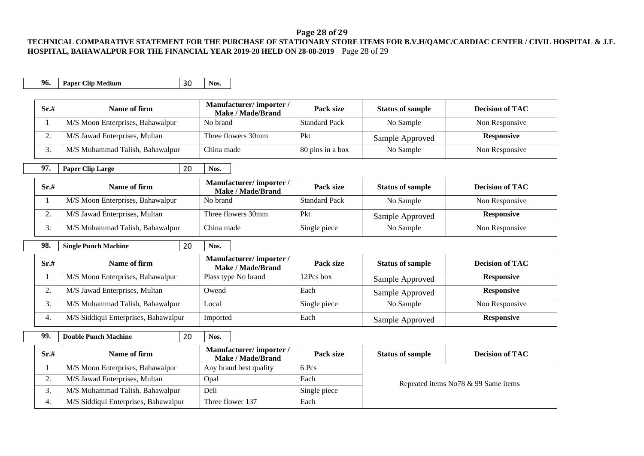#### **Page 28 of 29**

### **TECHNICAL COMPARATIVE STATEMENT FOR THE PURCHASE OF STATIONARY STORE ITEMS FOR B.V.H/QAMC/CARDIAC CENTER / CIVIL HOSPITAL & J.F. HOSPITAL, BAHAWALPUR FOR THE FINANCIAL YEAR 2019-20 HELD ON 28-08-2019** Page 28 of 29

| 96.  | <b>Paper Clip Medium</b>             | 30 | Nos.                                               |                      |                         |                                     |
|------|--------------------------------------|----|----------------------------------------------------|----------------------|-------------------------|-------------------------------------|
|      |                                      |    |                                                    |                      |                         |                                     |
| Sr.# | Name of firm                         |    | Manufacturer/importer/<br><b>Make / Made/Brand</b> | Pack size            | <b>Status of sample</b> | <b>Decision of TAC</b>              |
| 1    | M/S Moon Enterprises, Bahawalpur     |    | No brand                                           | <b>Standard Pack</b> | No Sample               | Non Responsive                      |
| 2.   | M/S Jawad Enterprises, Multan        |    | Three flowers 30mm                                 | Pkt                  | Sample Approved         | <b>Responsive</b>                   |
| 3.   | M/S Muhammad Talish, Bahawalpur      |    | China made                                         | 80 pins in a box     | No Sample               | Non Responsive                      |
| 97.  | <b>Paper Clip Large</b>              | 20 | Nos.                                               |                      |                         |                                     |
| Sr.# | Name of firm                         |    | Manufacturer/importer/<br><b>Make / Made/Brand</b> | Pack size            | <b>Status of sample</b> | <b>Decision of TAC</b>              |
| 1    | M/S Moon Enterprises, Bahawalpur     |    | No brand                                           | <b>Standard Pack</b> | No Sample               | Non Responsive                      |
| 2.   | M/S Jawad Enterprises, Multan        |    | Three flowers 30mm                                 | Pkt                  | Sample Approved         | <b>Responsive</b>                   |
| 3.   | M/S Muhammad Talish, Bahawalpur      |    | China made                                         | Single piece         | No Sample               | Non Responsive                      |
|      |                                      |    |                                                    |                      |                         |                                     |
|      |                                      |    |                                                    |                      |                         |                                     |
| 98.  | <b>Single Punch Machine</b>          | 20 | Nos.                                               |                      |                         |                                     |
| Sr.# | Name of firm                         |    | Manufacturer/importer/                             | Pack size            | <b>Status of sample</b> | <b>Decision of TAC</b>              |
| 1    | M/S Moon Enterprises, Bahawalpur     |    | <b>Make / Made/Brand</b><br>Plass type No brand    | 12Pcs box            | Sample Approved         | <b>Responsive</b>                   |
| 2.   | M/S Jawad Enterprises, Multan        |    | Owend                                              | Each                 | Sample Approved         | <b>Responsive</b>                   |
| 3.   | M/S Muhammad Talish, Bahawalpur      |    | Local                                              | Single piece         | No Sample               | Non Responsive                      |
| 4.   | M/S Siddiqui Enterprises, Bahawalpur |    | Imported                                           | Each                 | Sample Approved         | <b>Responsive</b>                   |
| 99.  | <b>Double Punch Machine</b>          | 20 | Nos.                                               |                      |                         |                                     |
| Sr.# | Name of firm                         |    | Manufacturer/importer/<br><b>Make / Made/Brand</b> | Pack size            | <b>Status of sample</b> | <b>Decision of TAC</b>              |
| -1   | M/S Moon Enterprises, Bahawalpur     |    | Any brand best quality                             | 6 Pcs                |                         |                                     |
| 2.   | M/S Jawad Enterprises, Multan        |    | Opal                                               | Each                 |                         | Repeated items No78 & 99 Same items |

4. M/S Siddiqui Enterprises, Bahawalpur Three flower 137 Each

 $\blacksquare$